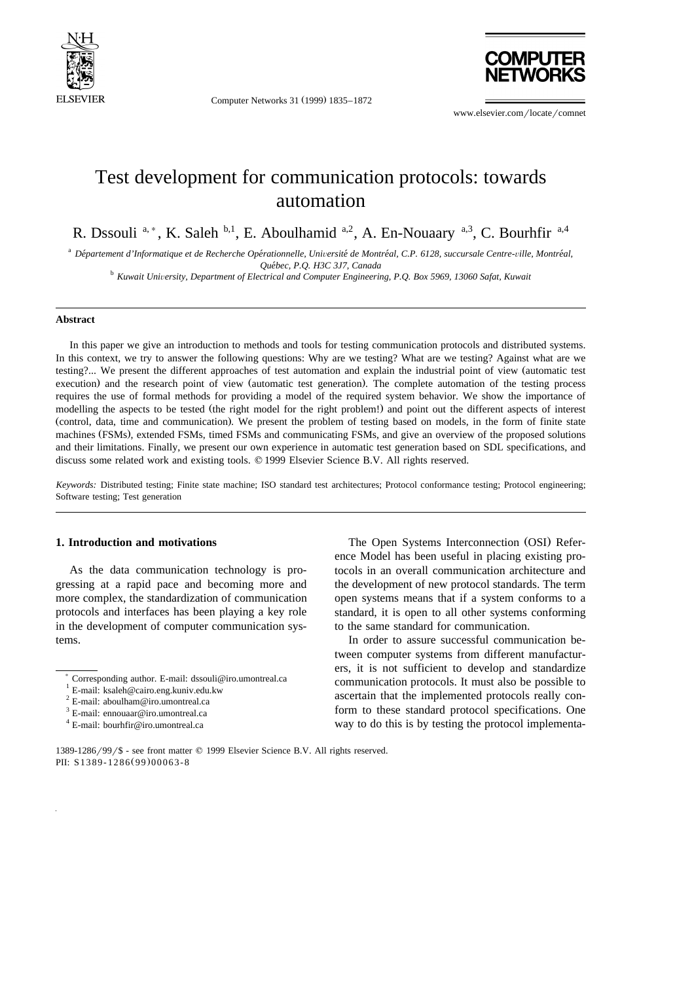

Computer Networks 31 (1999) 1835–1872



www.elsevier.com/locate/comnet

# Test development for communication protocols: towards automation

R. Dssouli a,\*, K. Saleh b,1, E. Aboulhamid a,2, A. En-Nouaary a,3, C. Bourhfir a,4

<sup>a</sup> Département d'Informatique et de Recherche Opérationnelle, Université de Montréal, C.P. 6128, succursale Centre-ville, Montréal, *Quebec, P.Q. H3C 3J7, Canada* ´ <sup>b</sup> *Kuwait Uni*Õ*ersity, Department of Electrical and Computer Engineering, P.Q. Box 5969, 13060 Safat, Kuwait*

#### **Abstract**

In this paper we give an introduction to methods and tools for testing communication protocols and distributed systems. In this context, we try to answer the following questions: Why are we testing? What are we testing? Against what are we testing?... We present the different approaches of test automation and explain the industrial point of view (automatic test execution) and the research point of view (automatic test generation). The complete automation of the testing process requires the use of formal methods for providing a model of the required system behavior. We show the importance of modelling the aspects to be tested (the right model for the right problem!) and point out the different aspects of interest (control, data, time and communication). We present the problem of testing based on models, in the form of finite state machines (FSMs), extended FSMs, timed FSMs and communicating FSMs, and give an overview of the proposed solutions and their limitations. Finally, we present our own experience in automatic test generation based on SDL specifications, and discuss some related work and existing tools.  $© 1999$  Elsevier Science B.V. All rights reserved.

*Keywords:* Distributed testing; Finite state machine; ISO standard test architectures; Protocol conformance testing; Protocol engineering; Software testing; Test generation

## **1. Introduction and motivations**

As the data communication technology is progressing at a rapid pace and becoming more and more complex, the standardization of communication protocols and interfaces has been playing a key role in the development of computer communication systems.

The Open Systems Interconnection (OSI) Reference Model has been useful in placing existing protocols in an overall communication architecture and the development of new protocol standards. The term open systems means that if a system conforms to a standard, it is open to all other systems conforming to the same standard for communication.

In order to assure successful communication between computer systems from different manufacturers, it is not sufficient to develop and standardize communication protocols. It must also be possible to ascertain that the implemented protocols really conform to these standard protocol specifications. One way to do this is by testing the protocol implementa-

1389-1286/99/\$ - see front matter  $\odot$  1999 Elsevier Science B.V. All rights reserved. PII: S1389-1286(99)00063-8

<sup>)</sup> Corresponding author. E-mail: dssouli@iro.umontreal.ca

<sup>1</sup> E-mail: ksaleh@cairo.eng.kuniv.edu.kw

<sup>2</sup> E-mail: aboulham@iro.umontreal.ca

<sup>3</sup> E-mail: ennouaar@iro.umontreal.ca

<sup>4</sup> E-mail: bourhfir@iro.umontreal.ca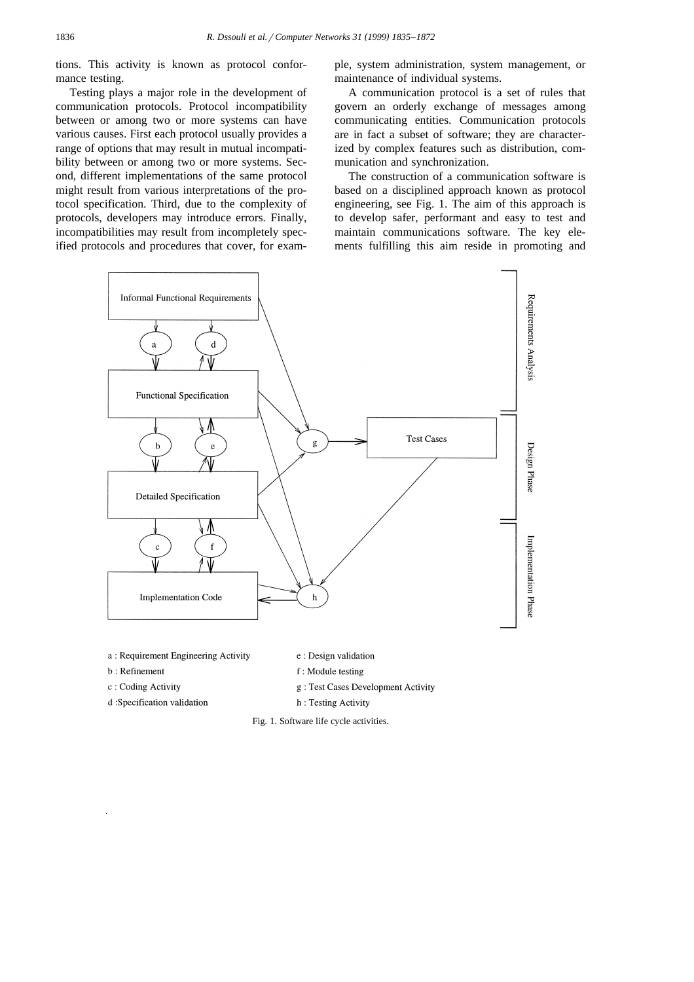tions. This activity is known as protocol conformance testing.

Testing plays a major role in the development of communication protocols. Protocol incompatibility between or among two or more systems can have various causes. First each protocol usually provides a range of options that may result in mutual incompatibility between or among two or more systems. Second, different implementations of the same protocol might result from various interpretations of the protocol specification. Third, due to the complexity of protocols, developers may introduce errors. Finally, incompatibilities may result from incompletely specified protocols and procedures that cover, for example, system administration, system management, or maintenance of individual systems.

A communication protocol is a set of rules that govern an orderly exchange of messages among communicating entities. Communication protocols are in fact a subset of software; they are characterized by complex features such as distribution, communication and synchronization.

The construction of a communication software is based on a disciplined approach known as protocol engineering, see Fig. 1. The aim of this approach is to develop safer, performant and easy to test and maintain communications software. The key elements fulfilling this aim reside in promoting and



- a: Requirement Engineering Activity
- b: Refinement
- c: Coding Activity
- d :Specification validation
- f: Module testing
- g: Test Cases Development Activity
- h: Testing Activity

Fig. 1. Software life cycle activities.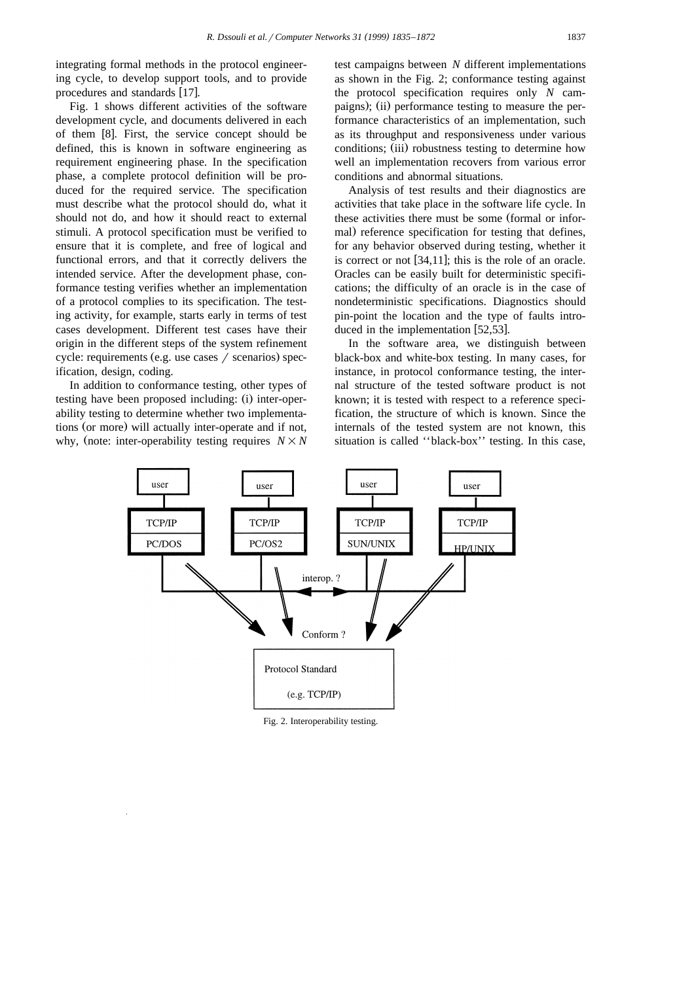integrating formal methods in the protocol engineering cycle, to develop support tools, and to provide procedures and standards [17].

Fig. 1 shows different activities of the software development cycle, and documents delivered in each of them [8]. First, the service concept should be defined, this is known in software engineering as requirement engineering phase. In the specification phase, a complete protocol definition will be produced for the required service. The specification must describe what the protocol should do, what it should not do, and how it should react to external stimuli. A protocol specification must be verified to ensure that it is complete, and free of logical and functional errors, and that it correctly delivers the intended service. After the development phase, conformance testing verifies whether an implementation of a protocol complies to its specification. The testing activity, for example, starts early in terms of test cases development. Different test cases have their origin in the different steps of the system refinement cycle: requirements (e.g. use cases / scenarios) specification, design, coding.

In addition to conformance testing, other types of testing have been proposed including: (i) inter-operability testing to determine whether two implementations (or more) will actually inter-operate and if not, why, (note: inter-operability testing requires  $N \times N$  test campaigns between *N* different implementations as shown in the Fig. 2; conformance testing against the protocol specification requires only *N* campaigns); (ii) performance testing to measure the performance characteristics of an implementation, such as its throughput and responsiveness under various conditions; (iii) robustness testing to determine how well an implementation recovers from various error conditions and abnormal situations.

Analysis of test results and their diagnostics are activities that take place in the software life cycle. In these activities there must be some (formal or informal) reference specification for testing that defines, for any behavior observed during testing, whether it is correct or not  $[34,11]$ ; this is the role of an oracle. Oracles can be easily built for deterministic specifications; the difficulty of an oracle is in the case of nondeterministic specifications. Diagnostics should pin-point the location and the type of faults introduced in the implementation  $[52,53]$ .

In the software area, we distinguish between black-box and white-box testing. In many cases, for instance, in protocol conformance testing, the internal structure of the tested software product is not known; it is tested with respect to a reference specification, the structure of which is known. Since the internals of the tested system are not known, this situation is called ''black-box'' testing. In this case,



Fig. 2. Interoperability testing.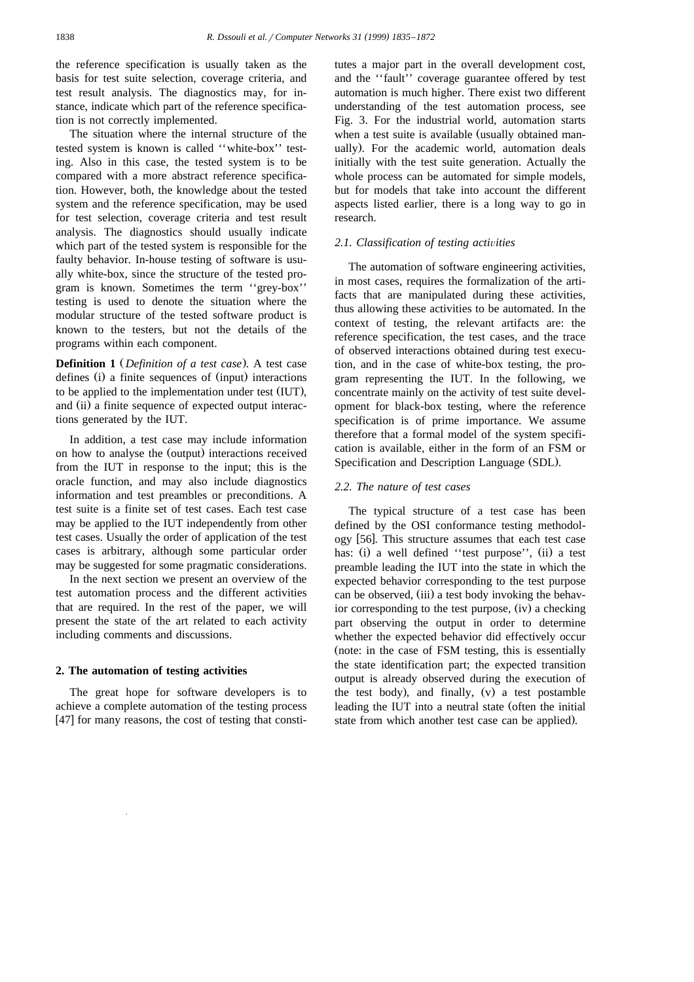the reference specification is usually taken as the basis for test suite selection, coverage criteria, and test result analysis. The diagnostics may, for instance, indicate which part of the reference specification is not correctly implemented.

The situation where the internal structure of the tested system is known is called ''white-box'' testing. Also in this case, the tested system is to be compared with a more abstract reference specification. However, both, the knowledge about the tested system and the reference specification, may be used for test selection, coverage criteria and test result analysis. The diagnostics should usually indicate which part of the tested system is responsible for the faulty behavior. In-house testing of software is usually white-box, since the structure of the tested program is known. Sometimes the term ''grey-box'' testing is used to denote the situation where the modular structure of the tested software product is known to the testers, but not the details of the programs within each component.

**Definition 1** (*Definition of a test case*). A test case defines (i) a finite sequences of (input) interactions to be applied to the implementation under test (IUT), and (ii) a finite sequence of expected output interactions generated by the IUT.

In addition, a test case may include information on how to analyse the (output) interactions received from the IUT in response to the input; this is the oracle function, and may also include diagnostics information and test preambles or preconditions. A test suite is a finite set of test cases. Each test case may be applied to the IUT independently from other test cases. Usually the order of application of the test cases is arbitrary, although some particular order may be suggested for some pragmatic considerations.

In the next section we present an overview of the test automation process and the different activities that are required. In the rest of the paper, we will present the state of the art related to each activity including comments and discussions.

### **2. The automation of testing activities**

The great hope for software developers is to achieve a complete automation of the testing process  $[47]$  for many reasons, the cost of testing that constitutes a major part in the overall development cost, and the ''fault'' coverage guarantee offered by test automation is much higher. There exist two different understanding of the test automation process, see Fig. 3. For the industrial world, automation starts when a test suite is available (usually obtained manually). For the academic world, automation deals initially with the test suite generation. Actually the whole process can be automated for simple models, but for models that take into account the different aspects listed earlier, there is a long way to go in research.

## 2.1. Classification of testing activities

The automation of software engineering activities, in most cases, requires the formalization of the artifacts that are manipulated during these activities, thus allowing these activities to be automated. In the context of testing, the relevant artifacts are: the reference specification, the test cases, and the trace of observed interactions obtained during test execution, and in the case of white-box testing, the program representing the IUT. In the following, we concentrate mainly on the activity of test suite development for black-box testing, where the reference specification is of prime importance. We assume therefore that a formal model of the system specification is available, either in the form of an FSM or Specification and Description Language (SDL).

### *2.2. The nature of test cases*

The typical structure of a test case has been defined by the OSI conformance testing methodology [56]. This structure assumes that each test case has: (i) a well defined "test purpose", (ii) a test preamble leading the IUT into the state in which the expected behavior corresponding to the test purpose can be observed, (iii) a test body invoking the behavior corresponding to the test purpose, (iv) a checking part observing the output in order to determine whether the expected behavior did effectively occur (note: in the case of FSM testing, this is essentially the state identification part; the expected transition output is already observed during the execution of the test body), and finally,  $(v)$  a test postamble leading the IUT into a neutral state (often the initial state from which another test case can be applied).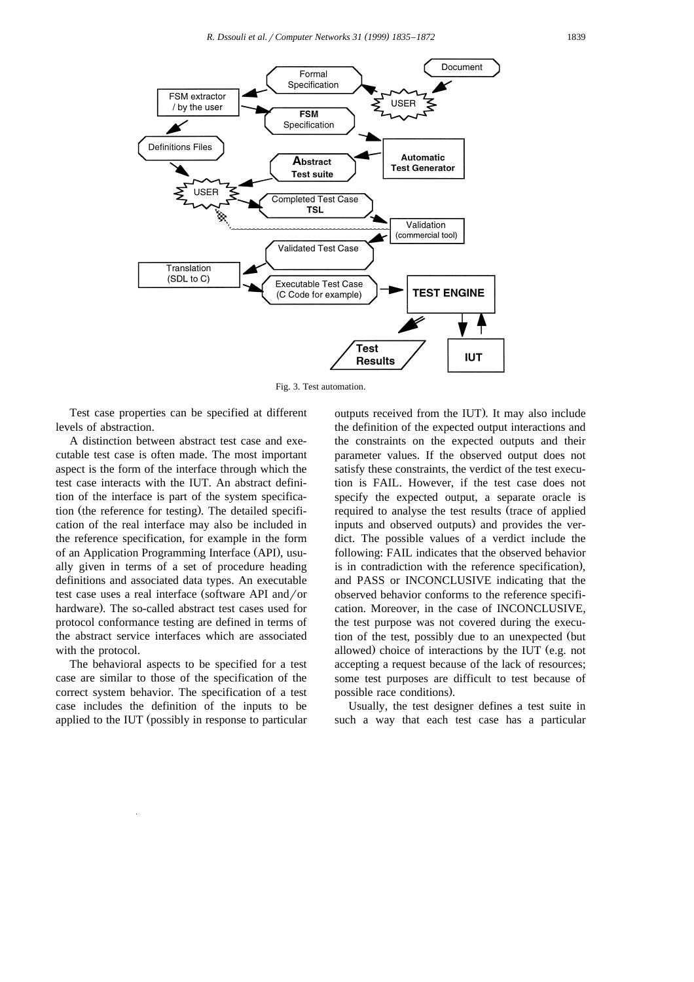

Fig. 3. Test automation.

Test case properties can be specified at different levels of abstraction.

A distinction between abstract test case and executable test case is often made. The most important aspect is the form of the interface through which the test case interacts with the IUT. An abstract definition of the interface is part of the system specification (the reference for testing). The detailed specification of the real interface may also be included in the reference specification, for example in the form of an Application Programming Interface (API), usually given in terms of a set of procedure heading definitions and associated data types. An executable test case uses a real interface (software API and/or hardware). The so-called abstract test cases used for protocol conformance testing are defined in terms of the abstract service interfaces which are associated with the protocol.

The behavioral aspects to be specified for a test case are similar to those of the specification of the correct system behavior. The specification of a test case includes the definition of the inputs to be applied to the IUT (possibly in response to particular

outputs received from the IUT). It may also include the definition of the expected output interactions and the constraints on the expected outputs and their parameter values. If the observed output does not satisfy these constraints, the verdict of the test execution is FAIL. However, if the test case does not specify the expected output, a separate oracle is required to analyse the test results (trace of applied inputs and observed outputs) and provides the verdict. The possible values of a verdict include the following: FAIL indicates that the observed behavior is in contradiction with the reference specification), and PASS or INCONCLUSIVE indicating that the observed behavior conforms to the reference specification. Moreover, in the case of INCONCLUSIVE, the test purpose was not covered during the execution of the test, possibly due to an unexpected (but allowed) choice of interactions by the IUT (e.g. not accepting a request because of the lack of resources; some test purposes are difficult to test because of possible race conditions).

Usually, the test designer defines a test suite in such a way that each test case has a particular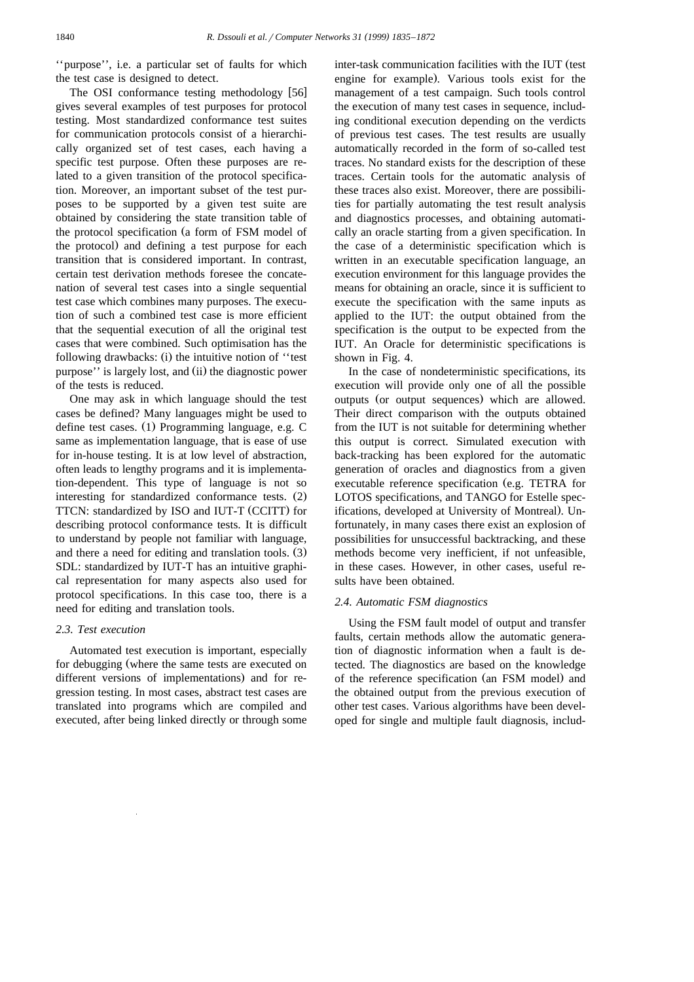''purpose'', i.e. a particular set of faults for which the test case is designed to detect.

The OSI conformance testing methodology [56] gives several examples of test purposes for protocol testing. Most standardized conformance test suites for communication protocols consist of a hierarchically organized set of test cases, each having a specific test purpose. Often these purposes are related to a given transition of the protocol specification. Moreover, an important subset of the test purposes to be supported by a given test suite are obtained by considering the state transition table of the protocol specification (a form of FSM model of the protocol) and defining a test purpose for each transition that is considered important. In contrast, certain test derivation methods foresee the concatenation of several test cases into a single sequential test case which combines many purposes. The execution of such a combined test case is more efficient that the sequential execution of all the original test cases that were combined. Such optimisation has the following drawbacks: (i) the intuitive notion of "test" purpose'' is largely lost, and (ii) the diagnostic power of the tests is reduced.

One may ask in which language should the test cases be defined? Many languages might be used to define test cases.  $(1)$  Programming language, e.g. C same as implementation language, that is ease of use for in-house testing. It is at low level of abstraction, often leads to lengthy programs and it is implementation-dependent. This type of language is not so interesting for standardized conformance tests. (2) TTCN: standardized by ISO and IUT-T (CCITT) for describing protocol conformance tests. It is difficult to understand by people not familiar with language, and there a need for editing and translation tools. (3) SDL: standardized by IUT-T has an intuitive graphical representation for many aspects also used for protocol specifications. In this case too, there is a need for editing and translation tools.

### *2.3. Test execution*

Automated test execution is important, especially for debugging (where the same tests are executed on different versions of implementations) and for regression testing. In most cases, abstract test cases are translated into programs which are compiled and executed, after being linked directly or through some

inter-task communication facilities with the IUT (test engine for example). Various tools exist for the management of a test campaign. Such tools control the execution of many test cases in sequence, including conditional execution depending on the verdicts of previous test cases. The test results are usually automatically recorded in the form of so-called test traces. No standard exists for the description of these traces. Certain tools for the automatic analysis of these traces also exist. Moreover, there are possibilities for partially automating the test result analysis and diagnostics processes, and obtaining automatically an oracle starting from a given specification. In the case of a deterministic specification which is written in an executable specification language, an execution environment for this language provides the means for obtaining an oracle, since it is sufficient to execute the specification with the same inputs as applied to the IUT: the output obtained from the specification is the output to be expected from the IUT. An Oracle for deterministic specifications is shown in Fig. 4.

In the case of nondeterministic specifications, its execution will provide only one of all the possible outputs (or output sequences) which are allowed. Their direct comparison with the outputs obtained from the IUT is not suitable for determining whether this output is correct. Simulated execution with back-tracking has been explored for the automatic generation of oracles and diagnostics from a given executable reference specification (e.g. TETRA for LOTOS specifications, and TANGO for Estelle specifications, developed at University of Montreal). Unfortunately, in many cases there exist an explosion of possibilities for unsuccessful backtracking, and these methods become very inefficient, if not unfeasible, in these cases. However, in other cases, useful results have been obtained.

### *2.4. Automatic FSM diagnostics*

Using the FSM fault model of output and transfer faults, certain methods allow the automatic generation of diagnostic information when a fault is detected. The diagnostics are based on the knowledge of the reference specification (an FSM model) and the obtained output from the previous execution of other test cases. Various algorithms have been developed for single and multiple fault diagnosis, includ-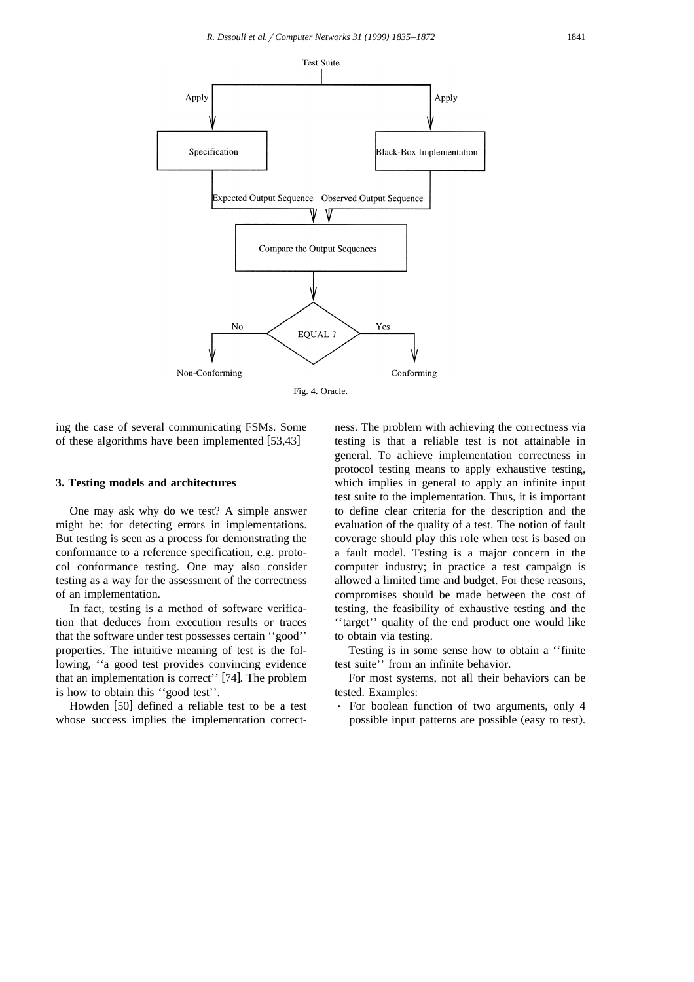

Fig. 4. Oracle.

ing the case of several communicating FSMs. Some of these algorithms have been implemented  $[53,43]$ 

#### **3. Testing models and architectures**

One may ask why do we test? A simple answer might be: for detecting errors in implementations. But testing is seen as a process for demonstrating the conformance to a reference specification, e.g. protocol conformance testing. One may also consider testing as a way for the assessment of the correctness of an implementation.

In fact, testing is a method of software verification that deduces from execution results or traces that the software under test possesses certain ''good'' properties. The intuitive meaning of test is the following, ''a good test provides convincing evidence that an implementation is correct''  $[74]$ . The problem is how to obtain this ''good test''.

Howden [50] defined a reliable test to be a test whose success implies the implementation correct-

ness. The problem with achieving the correctness via testing is that a reliable test is not attainable in general. To achieve implementation correctness in protocol testing means to apply exhaustive testing, which implies in general to apply an infinite input test suite to the implementation. Thus, it is important to define clear criteria for the description and the evaluation of the quality of a test. The notion of fault coverage should play this role when test is based on a fault model. Testing is a major concern in the computer industry; in practice a test campaign is allowed a limited time and budget. For these reasons, compromises should be made between the cost of testing, the feasibility of exhaustive testing and the ''target'' quality of the end product one would like to obtain via testing.

Testing is in some sense how to obtain a ''finite test suite'' from an infinite behavior.

For most systems, not all their behaviors can be tested. Examples:

Ø For boolean function of two arguments, only 4 possible input patterns are possible (easy to test).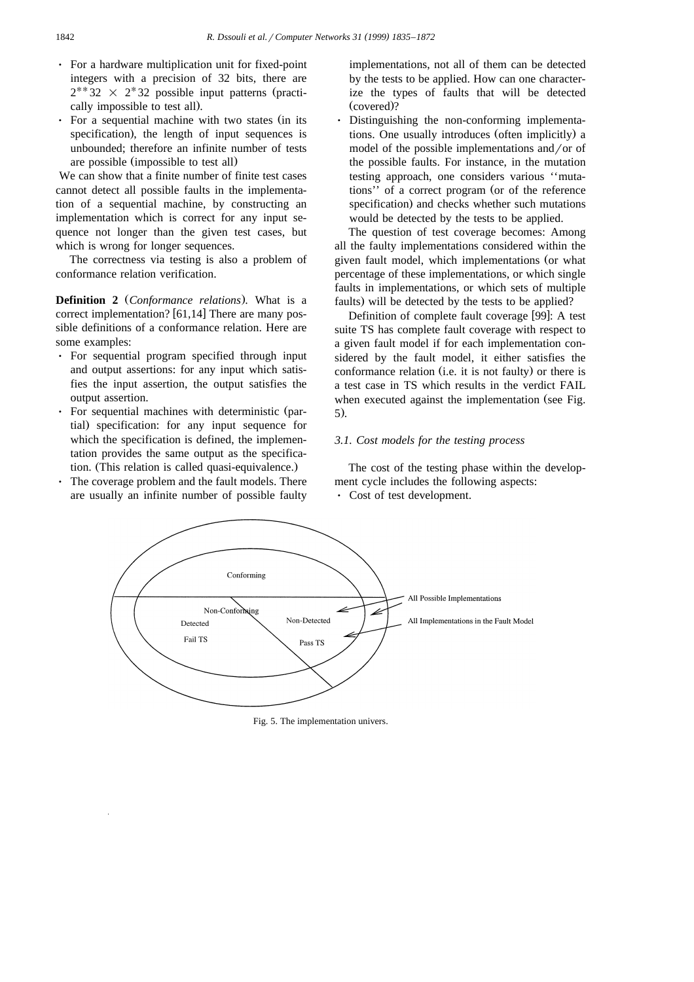- For a hardware multiplication unit for fixed-point integers with a precision of 32 bits, there are  $2^{**}32 \times 2^{*}32$  possible input patterns (practically impossible to test all).
- $\cdot$  For a sequential machine with two states (in its specification), the length of input sequences is unbounded; therefore an infinite number of tests are possible (impossible to test all)

We can show that a finite number of finite test cases cannot detect all possible faults in the implementation of a sequential machine, by constructing an implementation which is correct for any input sequence not longer than the given test cases, but which is wrong for longer sequences.

The correctness via testing is also a problem of conformance relation verification.

**Definition 2** (*Conformance relations*). What is a correct implementation?  $[61,14]$  There are many possible definitions of a conformance relation. Here are some examples:

- For sequential program specified through input and output assertions: for any input which satisfies the input assertion, the output satisfies the output assertion.
- For sequential machines with deterministic (partial) specification: for any input sequence for which the specification is defined, the implementation provides the same output as the specification. (This relation is called quasi-equivalence.)
- The coverage problem and the fault models. There are usually an infinite number of possible faulty

implementations, not all of them can be detected by the tests to be applied. How can one characterize the types of faults that will be detected (covered)?

• Distinguishing the non-conforming implementations. One usually introduces (often implicitly) a model of the possible implementations and/or of the possible faults. For instance, in the mutation testing approach, one considers various ''mutations" of a correct program (or of the reference specification) and checks whether such mutations would be detected by the tests to be applied.

The question of test coverage becomes: Among all the faulty implementations considered within the given fault model, which implementations (or what percentage of these implementations, or which single faults in implementations, or which sets of multiple faults) will be detected by the tests to be applied?

Definition of complete fault coverage [99]: A test suite TS has complete fault coverage with respect to a given fault model if for each implementation considered by the fault model, it either satisfies the conformance relation (i.e. it is not faulty) or there is a test case in TS which results in the verdict FAIL when executed against the implementation (see Fig. 5).

# *3.1. Cost models for the testing process*

The cost of the testing phase within the development cycle includes the following aspects:

• Cost of test development.



Fig. 5. The implementation univers.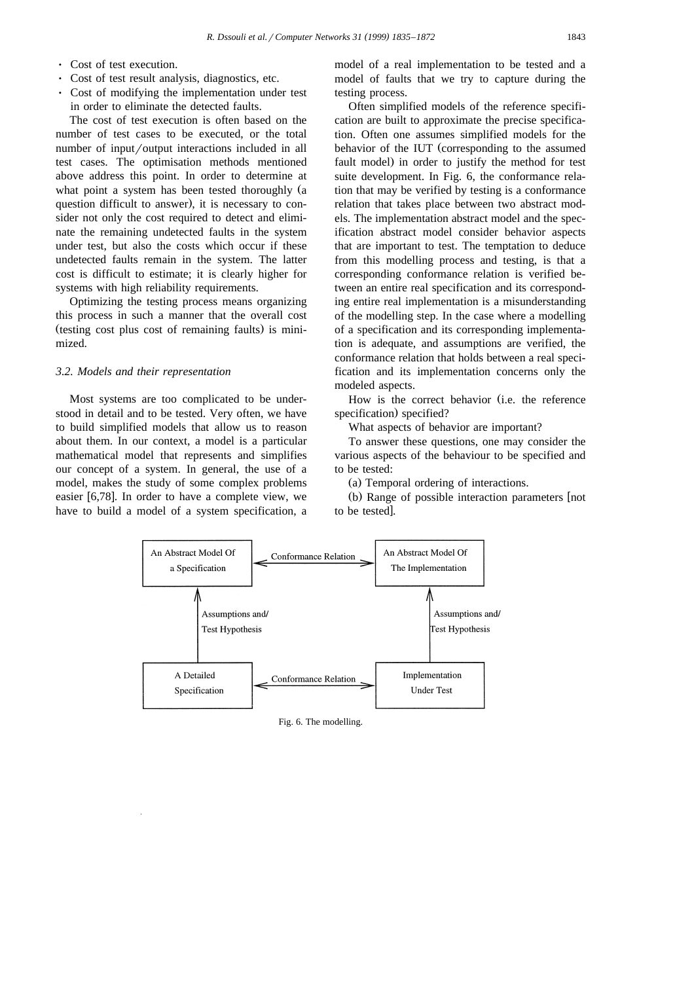- Cost of test execution.
- Ø Cost of test result analysis, diagnostics, etc.
- Cost of modifying the implementation under test in order to eliminate the detected faults.

The cost of test execution is often based on the number of test cases to be executed, or the total number of input/output interactions included in all test cases. The optimisation methods mentioned above address this point. In order to determine at what point a system has been tested thoroughly (a question difficult to answer), it is necessary to consider not only the cost required to detect and eliminate the remaining undetected faults in the system under test, but also the costs which occur if these undetected faults remain in the system. The latter cost is difficult to estimate; it is clearly higher for systems with high reliability requirements.

Optimizing the testing process means organizing this process in such a manner that the overall cost (testing cost plus cost of remaining faults) is minimized.

#### *3.2. Models and their representation*

Most systems are too complicated to be understood in detail and to be tested. Very often, we have to build simplified models that allow us to reason about them. In our context, a model is a particular mathematical model that represents and simplifies our concept of a system. In general, the use of a model, makes the study of some complex problems easier  $[6,78]$ . In order to have a complete view, we have to build a model of a system specification, a

model of a real implementation to be tested and a model of faults that we try to capture during the testing process.

Often simplified models of the reference specification are built to approximate the precise specification. Often one assumes simplified models for the behavior of the IUT (corresponding to the assumed fault model) in order to justify the method for test suite development. In Fig. 6, the conformance relation that may be verified by testing is a conformance relation that takes place between two abstract models. The implementation abstract model and the specification abstract model consider behavior aspects that are important to test. The temptation to deduce from this modelling process and testing, is that a corresponding conformance relation is verified between an entire real specification and its corresponding entire real implementation is a misunderstanding of the modelling step. In the case where a modelling of a specification and its corresponding implementation is adequate, and assumptions are verified, the conformance relation that holds between a real specification and its implementation concerns only the modeled aspects.

How is the correct behavior (*i.e.* the reference specification) specified?

What aspects of behavior are important?

To answer these questions, one may consider the various aspects of the behaviour to be specified and to be tested:

(a) Temporal ordering of interactions.

 $(b)$  Range of possible interaction parameters  $[not]$ to be tested.



Fig. 6. The modelling.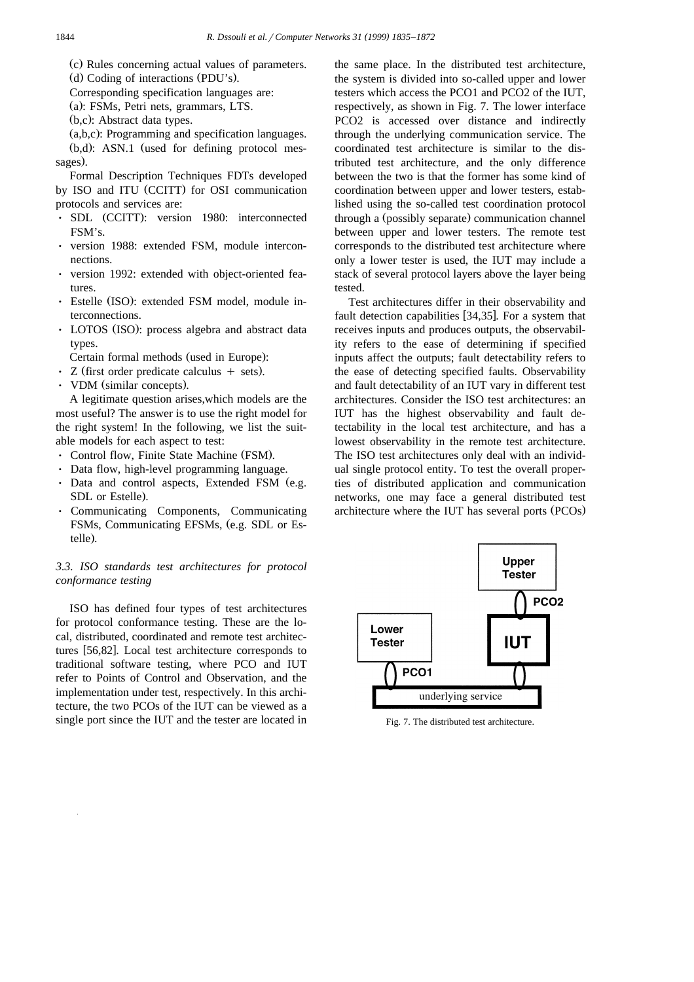(c) Rules concerning actual values of parameters.

(d) Coding of interactions (PDU's).

Corresponding specification languages are:

(a): FSMs, Petri nets, grammars, LTS.

 $(b,c)$ : Abstract data types.

 $(a,b,c)$ : Programming and specification languages.  $(b,d)$ : ASN.1 (used for defining protocol messages).

Formal Description Techniques FDTs developed by ISO and ITU (CCITT) for OSI communication protocols and services are:

- SDL (CCITT): version 1980: interconnected FSM's.
- version 1988: extended FSM, module interconnections.
- version 1992: extended with object-oriented features.
- Bestelle (ISO): extended FSM model, module interconnections.
- LOTOS (ISO): process algebra and abstract data types.

Certain formal methods (used in Europe):

- $\cdot$  Z (first order predicate calculus  $+$  sets).
- VDM (similar concepts).

A legitimate question arises,which models are the most useful? The answer is to use the right model for the right system! In the following, we list the suitable models for each aspect to test:

- Control flow, Finite State Machine (FSM).
- Data flow, high-level programming language.
- Data and control aspects, Extended FSM (e.g. SDL or Estelle).
- Communicating Components, Communicating FSMs, Communicating EFSMs, (e.g. SDL or Estelle).

# *3.3. ISO standards test architectures for protocol conformance testing*

ISO has defined four types of test architectures for protocol conformance testing. These are the local, distributed, coordinated and remote test architectures  $[56,82]$ . Local test architecture corresponds to traditional software testing, where PCO and IUT refer to Points of Control and Observation, and the implementation under test, respectively. In this architecture, the two PCOs of the IUT can be viewed as a single port since the IUT and the tester are located in the same place. In the distributed test architecture, the system is divided into so-called upper and lower testers which access the PCO1 and PCO2 of the IUT, respectively, as shown in Fig. 7. The lower interface PCO2 is accessed over distance and indirectly through the underlying communication service. The coordinated test architecture is similar to the distributed test architecture, and the only difference between the two is that the former has some kind of coordination between upper and lower testers, established using the so-called test coordination protocol through a (possibly separate) communication channel between upper and lower testers. The remote test corresponds to the distributed test architecture where only a lower tester is used, the IUT may include a stack of several protocol layers above the layer being tested.

Test architectures differ in their observability and fault detection capabilities  $[34,35]$ . For a system that receives inputs and produces outputs, the observability refers to the ease of determining if specified inputs affect the outputs; fault detectability refers to the ease of detecting specified faults. Observability and fault detectability of an IUT vary in different test architectures. Consider the ISO test architectures: an IUT has the highest observability and fault detectability in the local test architecture, and has a lowest observability in the remote test architecture. The ISO test architectures only deal with an individual single protocol entity. To test the overall properties of distributed application and communication networks, one may face a general distributed test architecture where the IUT has several ports (PCOs)



Fig. 7. The distributed test architecture.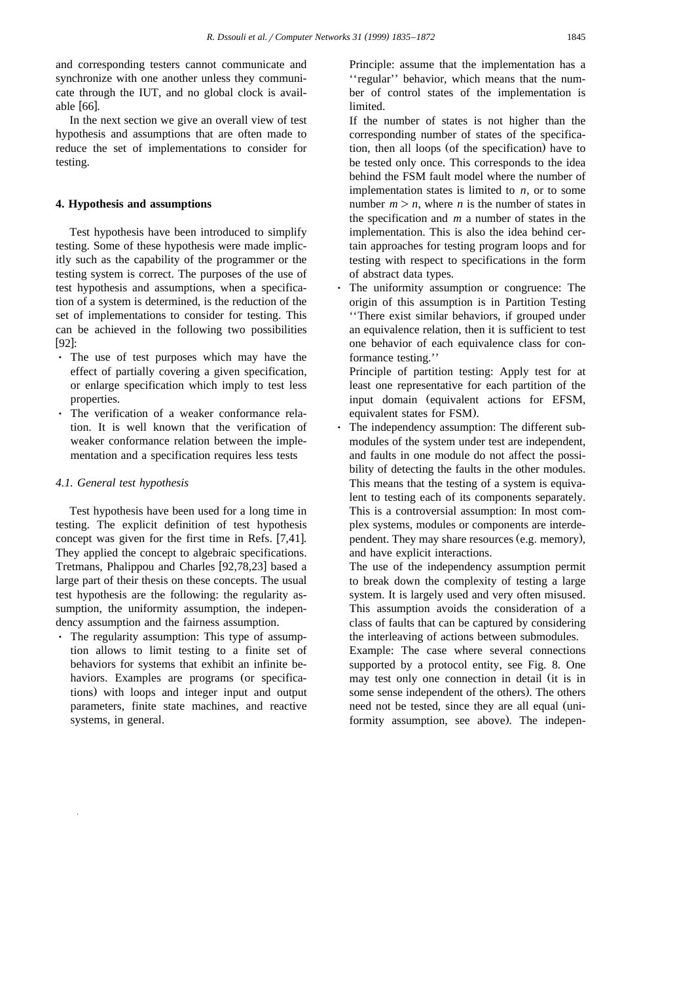and corresponding testers cannot communicate and synchronize with one another unless they communicate through the IUT, and no global clock is available  $[66]$ .

In the next section we give an overall view of test hypothesis and assumptions that are often made to reduce the set of implementations to consider for testing.

# **4. Hypothesis and assumptions**

Test hypothesis have been introduced to simplify testing. Some of these hypothesis were made implicitly such as the capability of the programmer or the testing system is correct. The purposes of the use of test hypothesis and assumptions, when a specification of a system is determined, is the reduction of the set of implementations to consider for testing. This can be achieved in the following two possibilities  $[92]$ :

- The use of test purposes which may have the effect of partially covering a given specification, or enlarge specification which imply to test less properties.
- The verification of a weaker conformance relation. It is well known that the verification of weaker conformance relation between the implementation and a specification requires less tests

# *4.1. General test hypothesis*

Test hypothesis have been used for a long time in testing. The explicit definition of test hypothesis concept was given for the first time in Refs.  $[7,41]$ . They applied the concept to algebraic specifications. Tretmans, Phalippou and Charles [92,78,23] based a large part of their thesis on these concepts. The usual test hypothesis are the following: the regularity assumption, the uniformity assumption, the independency assumption and the fairness assumption.

• The regularity assumption: This type of assumption allows to limit testing to a finite set of behaviors for systems that exhibit an infinite behaviors. Examples are programs (or specifications) with loops and integer input and output parameters, finite state machines, and reactive systems, in general.

Principle: assume that the implementation has a ''regular'' behavior, which means that the number of control states of the implementation is limited.

If the number of states is not higher than the corresponding number of states of the specification, then all loops (of the specification) have to be tested only once. This corresponds to the idea behind the FSM fault model where the number of implementation states is limited to *n*, or to some number  $m > n$ , where *n* is the number of states in the specification and *m* a number of states in the implementation. This is also the idea behind certain approaches for testing program loops and for testing with respect to specifications in the form of abstract data types.

• The uniformity assumption or congruence: The origin of this assumption is in Partition Testing ''There exist similar behaviors, if grouped under an equivalence relation, then it is sufficient to test one behavior of each equivalence class for conformance testing.''

Principle of partition testing: Apply test for at least one representative for each partition of the input domain (equivalent actions for EFSM, equivalent states for FSM).

• The independency assumption: The different submodules of the system under test are independent, and faults in one module do not affect the possibility of detecting the faults in the other modules. This means that the testing of a system is equivalent to testing each of its components separately. This is a controversial assumption: In most complex systems, modules or components are interdependent. They may share resources (e.g. memory), and have explicit interactions.

The use of the independency assumption permit to break down the complexity of testing a large system. It is largely used and very often misused. This assumption avoids the consideration of a class of faults that can be captured by considering the interleaving of actions between submodules.

Example: The case where several connections supported by a protocol entity, see Fig. 8. One may test only one connection in detail (it is in some sense independent of the others). The others need not be tested, since they are all equal (uniformity assumption, see above). The indepen-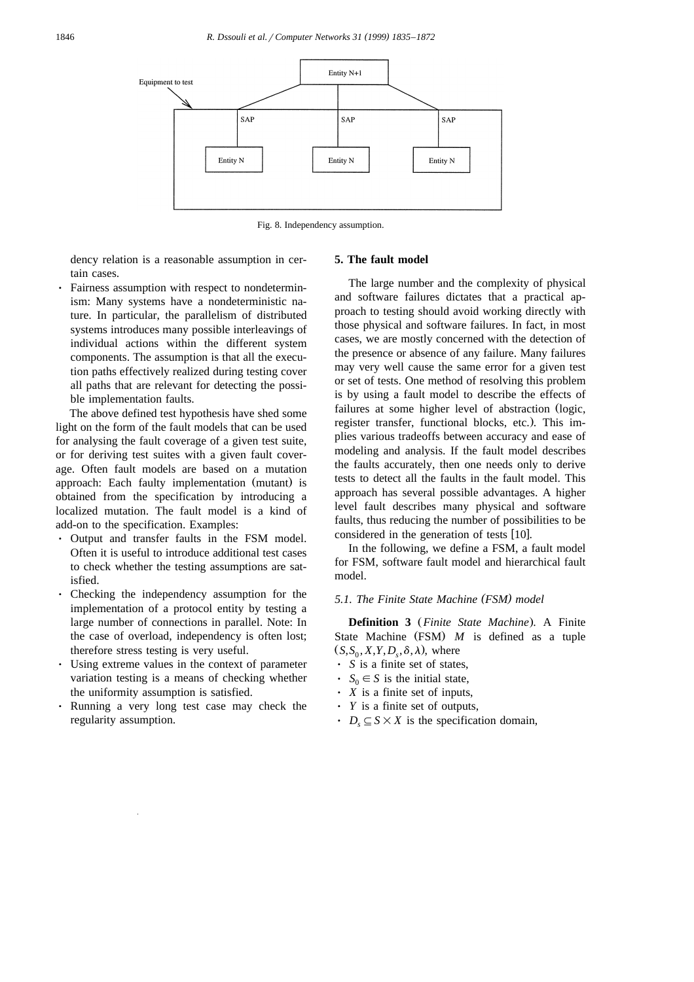

Fig. 8. Independency assumption.

dency relation is a reasonable assumption in certain cases.

Fairness assumption with respect to nondeterminism: Many systems have a nondeterministic nature. In particular, the parallelism of distributed systems introduces many possible interleavings of individual actions within the different system components. The assumption is that all the execution paths effectively realized during testing cover all paths that are relevant for detecting the possible implementation faults.

The above defined test hypothesis have shed some light on the form of the fault models that can be used for analysing the fault coverage of a given test suite, or for deriving test suites with a given fault coverage. Often fault models are based on a mutation approach: Each faulty implementation (mutant) is obtained from the specification by introducing a localized mutation. The fault model is a kind of add-on to the specification. Examples:

- Ø Output and transfer faults in the FSM model. Often it is useful to introduce additional test cases to check whether the testing assumptions are satisfied.
- Checking the independency assumption for the implementation of a protocol entity by testing a large number of connections in parallel. Note: In the case of overload, independency is often lost; therefore stress testing is very useful.
- Ø Using extreme values in the context of parameter variation testing is a means of checking whether the uniformity assumption is satisfied.
- Ø Running a very long test case may check the regularity assumption.

## **5. The fault model**

The large number and the complexity of physical and software failures dictates that a practical approach to testing should avoid working directly with those physical and software failures. In fact, in most cases, we are mostly concerned with the detection of the presence or absence of any failure. Many failures may very well cause the same error for a given test or set of tests. One method of resolving this problem is by using a fault model to describe the effects of failures at some higher level of abstraction (logic, register transfer, functional blocks, etc.). This implies various tradeoffs between accuracy and ease of modeling and analysis. If the fault model describes the faults accurately, then one needs only to derive tests to detect all the faults in the fault model. This approach has several possible advantages. A higher level fault describes many physical and software faults, thus reducing the number of possibilities to be considered in the generation of tests  $[10]$ .

In the following, we define a FSM, a fault model for FSM, software fault model and hierarchical fault model.

# 5.1. The Finite State Machine (FSM) model

**Definition 3** (*Finite State Machine*). A Finite State Machine  $(FSM)$   $M$  is defined as a tuple  $(S, S_0, X, Y, D_s, \delta, \lambda)$ , where

- Ø *S* is a finite set of states,
- $\cdot$   $S_0 \in S$  is the initial state,
- $\cdot$  *X* is a finite set of inputs,
- $\cdot$  *Y* is a finite set of outputs,
- $\cdot$  *D*<sub>s</sub>  $\subseteq$  *S*  $\times$  *X* is the specification domain,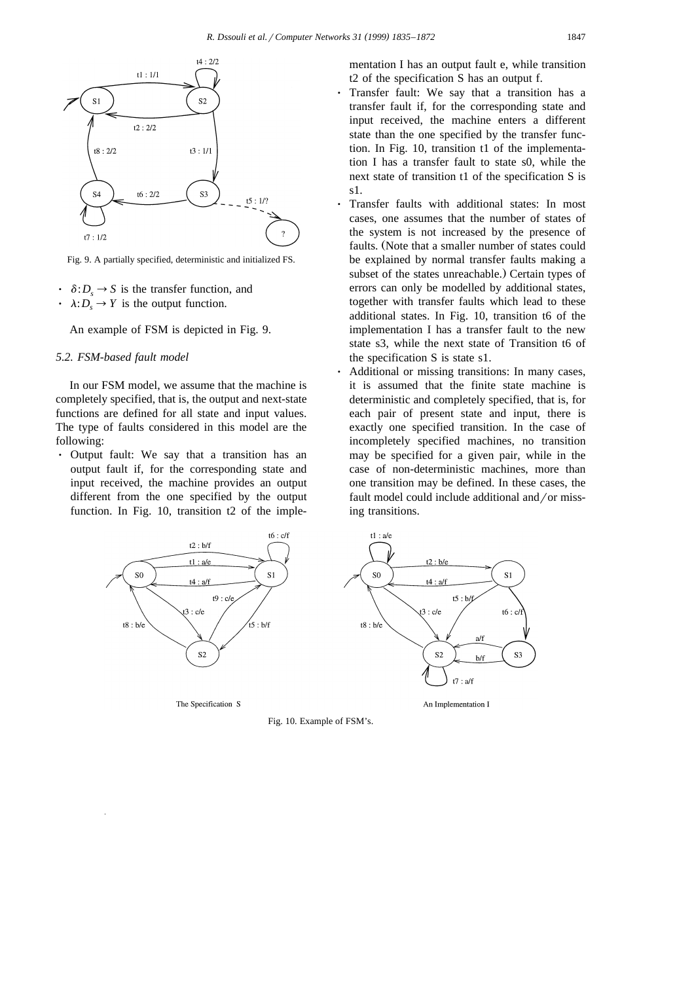

Fig. 9. A partially specified, deterministic and initialized FS.

- $\cdot$   $\delta: D_s \to S$  is the transfer function, and
- $\lambda: D_{s} \to Y$  is the output function.

An example of FSM is depicted in Fig. 9.

## *5.2. FSM-based fault model*

In our FSM model, we assume that the machine is completely specified, that is, the output and next-state functions are defined for all state and input values. The type of faults considered in this model are the following:

• Output fault: We say that a transition has an output fault if, for the corresponding state and input received, the machine provides an output different from the one specified by the output function. In Fig. 10, transition t2 of the imple-



The Specification S

mentation I has an output fault e, while transition t2 of the specification S has an output f.

- Ø Transfer fault: We say that a transition has a transfer fault if, for the corresponding state and input received, the machine enters a different state than the one specified by the transfer function. In Fig. 10, transition t1 of the implementation I has a transfer fault to state s0, while the next state of transition t1 of the specification S is s1.
- Transfer faults with additional states: In most cases, one assumes that the number of states of the system is not increased by the presence of faults. (Note that a smaller number of states could be explained by normal transfer faults making a subset of the states unreachable.) Certain types of errors can only be modelled by additional states, together with transfer faults which lead to these additional states. In Fig. 10, transition t6 of the implementation I has a transfer fault to the new state s3, while the next state of Transition t6 of the specification S is state s1.
- Additional or missing transitions: In many cases, it is assumed that the finite state machine is deterministic and completely specified, that is, for each pair of present state and input, there is exactly one specified transition. In the case of incompletely specified machines, no transition may be specified for a given pair, while in the case of non-deterministic machines, more than one transition may be defined. In these cases, the fault model could include additional and/or missing transitions.



An Implementation I

Fig. 10. Example of FSM's.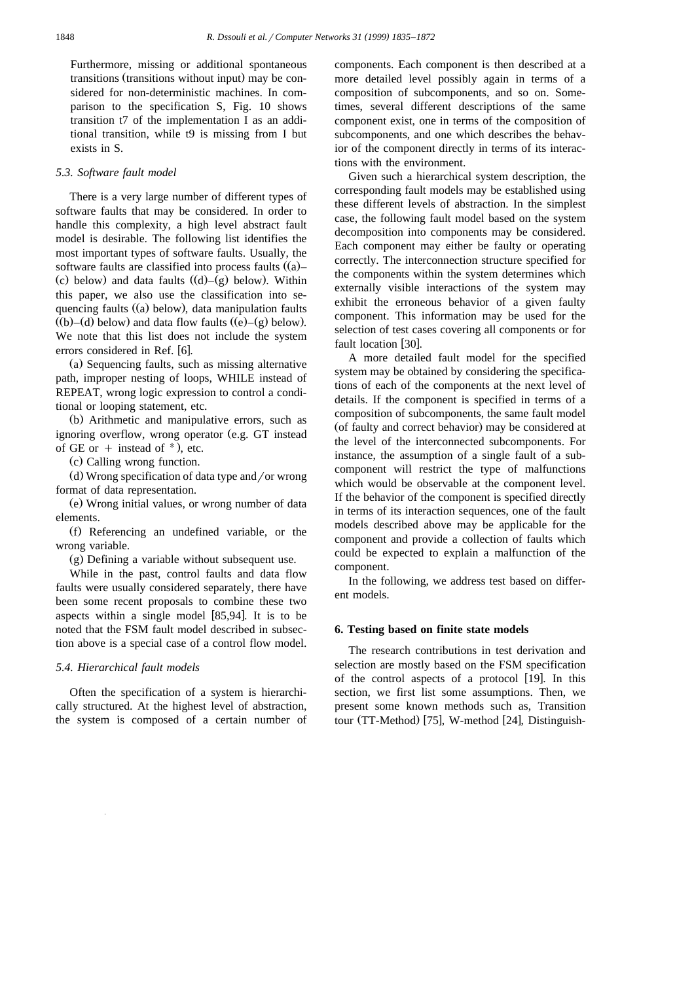Furthermore, missing or additional spontaneous transitions (transitions without input) may be considered for non-deterministic machines. In comparison to the specification S, Fig. 10 shows transition t7 of the implementation I as an additional transition, while t9 is missing from I but exists in S.

## *5.3. Software fault model*

There is a very large number of different types of software faults that may be considered. In order to handle this complexity, a high level abstract fault model is desirable. The following list identifies the most important types of software faults. Usually, the software faults are classified into process faults  $((a)$ (c) below) and data faults  $((d)$ – $(g)$  below). Within this paper, we also use the classification into sequencing faults  $((a)$  below), data manipulation faults  $((b)–(d)$  below) and data flow faults  $((e)–(g)$  below). We note that this list does not include the system errors considered in Ref. [6].

(a) Sequencing faults, such as missing alternative path, improper nesting of loops, WHILE instead of REPEAT, wrong logic expression to control a conditional or looping statement, etc.

(b) Arithmetic and manipulative errors, such as ignoring overflow, wrong operator (e.g. GT instead of GE or  $+$  instead of  $*$ ), etc.

(c) Calling wrong function.

(d) Wrong specification of data type and  $\emph{/}$  or wrong format of data representation.

(e) Wrong initial values, or wrong number of data elements.

(f) Referencing an undefined variable, or the wrong variable.

 $(g)$  Defining a variable without subsequent use.

While in the past, control faults and data flow faults were usually considered separately, there have been some recent proposals to combine these two aspects within a single model  $[85,94]$ . It is to be noted that the FSM fault model described in subsection above is a special case of a control flow model.

## *5.4. Hierarchical fault models*

Often the specification of a system is hierarchically structured. At the highest level of abstraction, the system is composed of a certain number of

components. Each component is then described at a more detailed level possibly again in terms of a composition of subcomponents, and so on. Sometimes, several different descriptions of the same component exist, one in terms of the composition of subcomponents, and one which describes the behavior of the component directly in terms of its interactions with the environment.

Given such a hierarchical system description, the corresponding fault models may be established using these different levels of abstraction. In the simplest case, the following fault model based on the system decomposition into components may be considered. Each component may either be faulty or operating correctly. The interconnection structure specified for the components within the system determines which externally visible interactions of the system may exhibit the erroneous behavior of a given faulty component. This information may be used for the selection of test cases covering all components or for fault location [30].

A more detailed fault model for the specified system may be obtained by considering the specifications of each of the components at the next level of details. If the component is specified in terms of a composition of subcomponents, the same fault model (of faulty and correct behavior) may be considered at the level of the interconnected subcomponents. For instance, the assumption of a single fault of a subcomponent will restrict the type of malfunctions which would be observable at the component level. If the behavior of the component is specified directly in terms of its interaction sequences, one of the fault models described above may be applicable for the component and provide a collection of faults which could be expected to explain a malfunction of the component.

In the following, we address test based on different models.

### **6. Testing based on finite state models**

The research contributions in test derivation and selection are mostly based on the FSM specification of the control aspects of a protocol  $[19]$ . In this section, we first list some assumptions. Then, we present some known methods such as, Transition tour (TT-Method) [75], W-method [24], Distinguish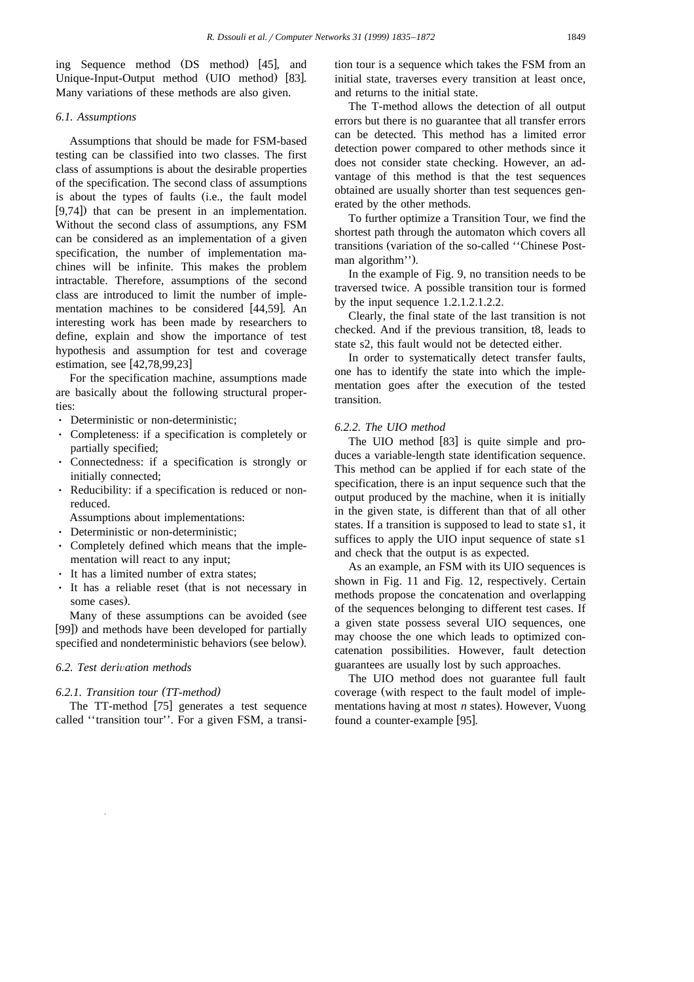ing Sequence method (DS method) [45], and Unique-Input-Output method (UIO method) [83]. Many variations of these methods are also given.

#### *6.1. Assumptions*

Assumptions that should be made for FSM-based testing can be classified into two classes. The first class of assumptions is about the desirable properties of the specification. The second class of assumptions is about the types of faults (i.e., the fault model  $[9,74]$ ) that can be present in an implementation. Without the second class of assumptions, any FSM can be considered as an implementation of a given specification, the number of implementation machines will be infinite. This makes the problem intractable. Therefore, assumptions of the second class are introduced to limit the number of implementation machines to be considered [44,59]. An interesting work has been made by researchers to define, explain and show the importance of test hypothesis and assumption for test and coverage estimation, see  $[42,78,99,23]$ 

For the specification machine, assumptions made are basically about the following structural properties:

- Deterministic or non-deterministic;
- Ø Completeness: if a specification is completely or partially specified;
- Connectedness: if a specification is strongly or initially connected;
- Reducibility: if a specification is reduced or nonreduced.
- Assumptions about implementations:
- Deterministic or non-deterministic:
- Completely defined which means that the implementation will react to any input;
- It has a limited number of extra states:
- It has a reliable reset (that is not necessary in some cases).

Many of these assumptions can be avoided (see [99]) and methods have been developed for partially specified and nondeterministic behaviors (see below).

# *6.2. Test deri*Õ*ation methods*

## *6.2.1. Transition tour TT-method ( )*

The TT-method [75] generates a test sequence called ''transition tour''. For a given FSM, a transition tour is a sequence which takes the FSM from an initial state, traverses every transition at least once, and returns to the initial state.

The T-method allows the detection of all output errors but there is no guarantee that all transfer errors can be detected. This method has a limited error detection power compared to other methods since it does not consider state checking. However, an advantage of this method is that the test sequences obtained are usually shorter than test sequences generated by the other methods.

To further optimize a Transition Tour, we find the shortest path through the automaton which covers all transitions (variation of the so-called "Chinese Postman algorithm'').

In the example of Fig. 9, no transition needs to be traversed twice. A possible transition tour is formed by the input sequence 1.2.1.2.1.2.2.

Clearly, the final state of the last transition is not checked. And if the previous transition, t8, leads to state s2, this fault would not be detected either.

In order to systematically detect transfer faults, one has to identify the state into which the implementation goes after the execution of the tested transition.

# *6.2.2. The UIO method*

The UIO method [83] is quite simple and produces a variable-length state identification sequence. This method can be applied if for each state of the specification, there is an input sequence such that the output produced by the machine, when it is initially in the given state, is different than that of all other states. If a transition is supposed to lead to state s1, it suffices to apply the UIO input sequence of state s1 and check that the output is as expected.

As an example, an FSM with its UIO sequences is shown in Fig. 11 and Fig. 12, respectively. Certain methods propose the concatenation and overlapping of the sequences belonging to different test cases. If a given state possess several UIO sequences, one may choose the one which leads to optimized concatenation possibilities. However, fault detection guarantees are usually lost by such approaches.

The UIO method does not guarantee full fault coverage (with respect to the fault model of implementations having at most *n* states). However, Vuong found a counter-example [95].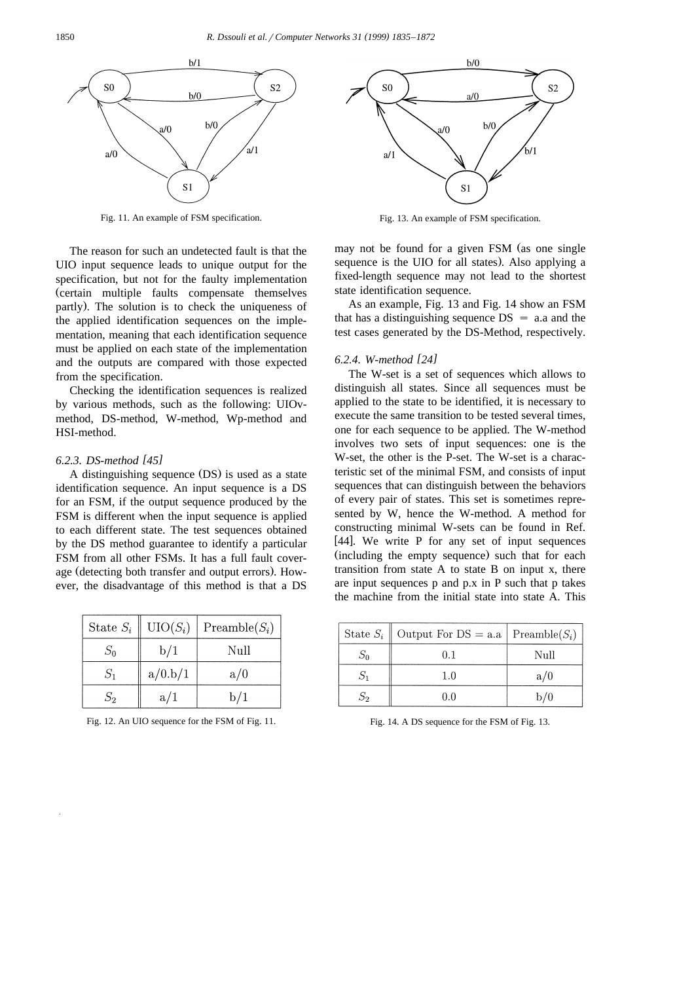

Fig. 11. An example of FSM specification.

The reason for such an undetected fault is that the UIO input sequence leads to unique output for the specification, but not for the faulty implementation Žcertain multiple faults compensate themselves partly). The solution is to check the uniqueness of the applied identification sequences on the implementation, meaning that each identification sequence must be applied on each state of the implementation and the outputs are compared with those expected from the specification.

Checking the identification sequences is realized by various methods, such as the following: UIOvmethod, DS-method, W-method, Wp-method and HSI-method.

#### *6.2.3. DS-method 45 [ ]*

A distinguishing sequence (DS) is used as a state identification sequence. An input sequence is a DS for an FSM, if the output sequence produced by the FSM is different when the input sequence is applied to each different state. The test sequences obtained by the DS method guarantee to identify a particular FSM from all other FSMs. It has a full fault coverage (detecting both transfer and output errors). However, the disadvantage of this method is that a DS

| State $S_i$ | $UIO(S_i)$ | $Preamble(S_i)$ |
|-------------|------------|-----------------|
| $S_0$       | b/1        | Null            |
| $S_1$       | a/0.b/1    | a/0             |
| $S_2$       | a/1        | b/1             |

Fig. 12. An UIO sequence for the FSM of Fig. 11.



Fig. 13. An example of FSM specification.

may not be found for a given FSM (as one single sequence is the UIO for all states). Also applying a fixed-length sequence may not lead to the shortest state identification sequence.

As an example, Fig. 13 and Fig. 14 show an FSM that has a distinguishing sequence  $DS = a.a$  and the test cases generated by the DS-Method, respectively.

## *6.2.4. W-method 24 [ ]*

The W-set is a set of sequences which allows to distinguish all states. Since all sequences must be applied to the state to be identified, it is necessary to execute the same transition to be tested several times, one for each sequence to be applied. The W-method involves two sets of input sequences: one is the W-set, the other is the P-set. The W-set is a characteristic set of the minimal FSM, and consists of input sequences that can distinguish between the behaviors of every pair of states. This set is sometimes represented by W, hence the W-method. A method for constructing minimal W-sets can be found in Ref. [44]. We write P for any set of input sequences (including the empty sequence) such that for each transition from state A to state B on input x, there are input sequences p and p.x in P such that p takes the machine from the initial state into state A. This

| State $S_i$ | Output For $DS = a.a$ Preamble( $S_i$ ) |      |
|-------------|-----------------------------------------|------|
| $S_0$       | 0.1                                     | Null |
|             | 1.0                                     | a/0  |
| S,          | 0.0                                     |      |

Fig. 14. A DS sequence for the FSM of Fig. 13.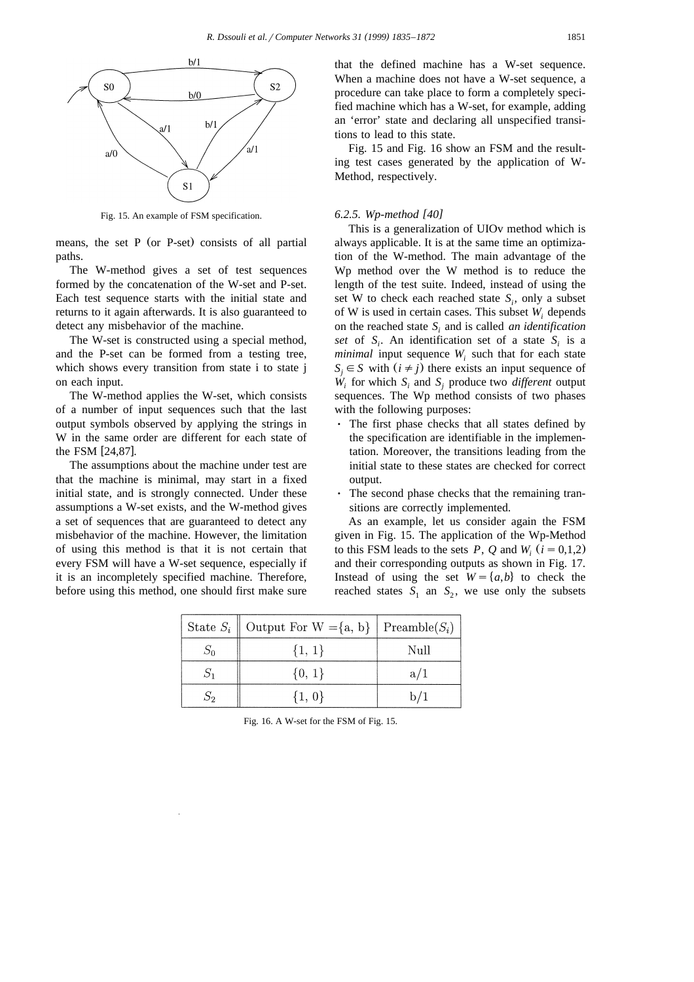

Fig. 15. An example of FSM specification.

means, the set P (or P-set) consists of all partial paths.

The W-method gives a set of test sequences formed by the concatenation of the W-set and P-set. Each test sequence starts with the initial state and returns to it again afterwards. It is also guaranteed to detect any misbehavior of the machine.

The W-set is constructed using a special method, and the P-set can be formed from a testing tree, which shows every transition from state i to state j on each input.

The W-method applies the W-set, which consists of a number of input sequences such that the last output symbols observed by applying the strings in W in the same order are different for each state of the FSM  $[24, 87]$ .

The assumptions about the machine under test are that the machine is minimal, may start in a fixed initial state, and is strongly connected. Under these assumptions a W-set exists, and the W-method gives a set of sequences that are guaranteed to detect any misbehavior of the machine. However, the limitation of using this method is that it is not certain that every FSM will have a W-set sequence, especially if it is an incompletely specified machine. Therefore, before using this method, one should first make sure

that the defined machine has a W-set sequence. When a machine does not have a W-set sequence, a procedure can take place to form a completely specified machine which has a W-set, for example, adding an 'error' state and declaring all unspecified transitions to lead to this state.

Fig. 15 and Fig. 16 show an FSM and the resulting test cases generated by the application of W-Method, respectively.

#### *6.2.5. Wp-method 40 [ ]*

This is a generalization of UIOv method which is always applicable. It is at the same time an optimization of the W-method. The main advantage of the Wp method over the W method is to reduce the length of the test suite. Indeed, instead of using the set W to check each reached state  $S_i$ , only a subset of W is used in certain cases. This subset *W*, depends on the reached state *Si* and is called *an identification* set of  $S_i$ . An identification set of a state  $S_i$  is a *minimal* input sequence  $W_i$  such that for each state  $S_i \in S$  with  $(i \neq j)$  there exists an input sequence of  $\dot{W}_i$  for which  $S_i$  and  $S_j$  produce two *different* output sequences. The Wp method consists of two phases with the following purposes:

- The first phase checks that all states defined by the specification are identifiable in the implementation. Moreover, the transitions leading from the initial state to these states are checked for correct output.
- The second phase checks that the remaining transitions are correctly implemented.

As an example, let us consider again the FSM given in Fig. 15. The application of the Wp-Method to this FSM leads to the sets  $P$ ,  $Q$  and  $W_i$  ( $i = 0,1,2$ ) and their corresponding outputs as shown in Fig. 17. Instead of using the set  $W = \{a, b\}$  to check the reached states  $S_1$  an  $S_2$ , we use only the subsets

| State $S_i$   Output For W = {a, b}   Preamble( $S_i$ ) |      |
|---------------------------------------------------------|------|
| $\{1, 1\}$                                              | Null |
| $\{0, 1\}$                                              | a/1  |
| $\{1, 0\}$                                              |      |

Fig. 16. A W-set for the FSM of Fig. 15.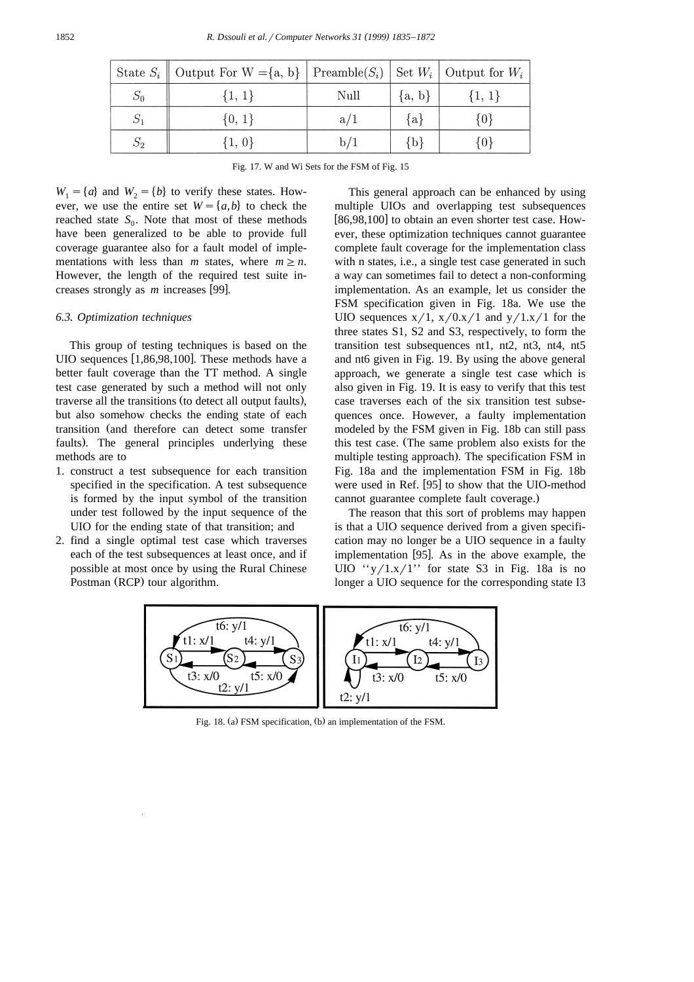|       | State $S_i$   Output For W = {a, b}   Preamble( $S_i$ )   Set $W_i$   Output for $W_i$ |      |            |            |
|-------|----------------------------------------------------------------------------------------|------|------------|------------|
| $S_0$ | $\{1, 1\}$                                                                             | Null | $\{a, b\}$ | $\{1, 1\}$ |
|       | $\{0, 1\}$                                                                             | a/1  | $\{a\}$    | $\{0\}$    |
| $S_2$ | $\{1, 0\}$                                                                             | b/1  | {p]        |            |

Fig. 17. W and Wi Sets for the FSM of Fig. 15

 $W_1 = \{a\}$  and  $W_2 = \{b\}$  to verify these states. However, we use the entire set  $W = \{a, b\}$  to check the reached state  $S_0$ . Note that most of these methods have been generalized to be able to provide full coverage guarantee also for a fault model of implementations with less than *m* states, where  $m \ge n$ . However, the length of the required test suite increases strongly as *m* increases [99].

#### *6.3. Optimization techniques*

This group of testing techniques is based on the UIO sequences  $[1,86,98,100]$ . These methods have a better fault coverage than the TT method. A single test case generated by such a method will not only traverse all the transitions (to detect all output faults), but also somehow checks the ending state of each transition (and therefore can detect some transfer faults). The general principles underlying these methods are to

- 1. construct a test subsequence for each transition specified in the specification. A test subsequence is formed by the input symbol of the transition under test followed by the input sequence of the UIO for the ending state of that transition; and
- 2. find a single optimal test case which traverses each of the test subsequences at least once, and if possible at most once by using the Rural Chinese Postman (RCP) tour algorithm.

This general approach can be enhanced by using multiple UIOs and overlapping test subsequences  $[86,98,100]$  to obtain an even shorter test case. However, these optimization techniques cannot guarantee complete fault coverage for the implementation class with n states, *i.e.*, a single test case generated in such a way can sometimes fail to detect a non-conforming implementation. As an example, let us consider the FSM specification given in Fig. 18a. We use the UIO sequences  $x/1$ ,  $x/0.x/1$  and  $y/1.x/1$  for the three states S1, S2 and S3, respectively, to form the transition test subsequences nt1, nt2, nt3, nt4, nt5 and nt6 given in Fig. 19. By using the above general approach, we generate a single test case which is also given in Fig. 19. It is easy to verify that this test case traverses each of the six transition test subsequences once. However, a faulty implementation modeled by the FSM given in Fig. 18b can still pass this test case. (The same problem also exists for the multiple testing approach). The specification FSM in Fig. 18a and the implementation FSM in Fig. 18b were used in Ref.  $[95]$  to show that the UIO-method cannot guarantee complete fault coverage..

The reason that this sort of problems may happen is that a UIO sequence derived from a given specification may no longer be a UIO sequence in a faulty implementation  $[95]$ . As in the above example, the UIO " $y/1.x/1$ " for state S3 in Fig. 18a is no longer a UIO sequence for the corresponding state I3



Fig. 18. (a) FSM specification, (b) an implementation of the FSM.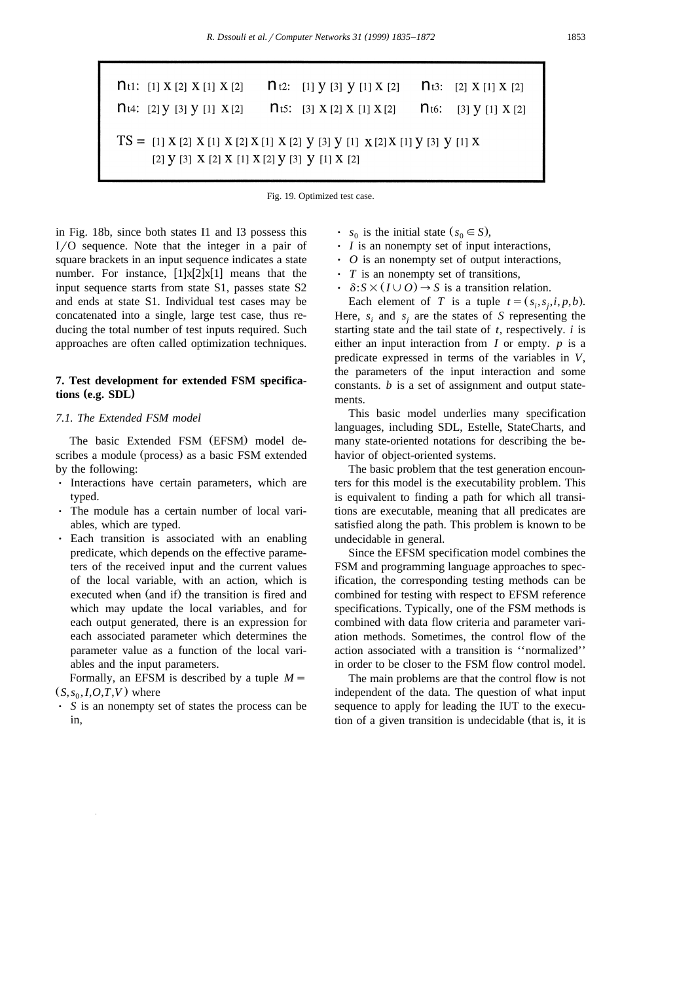$\mathsf{N}$ t1: [1] X [2] X [1] X [2]  $n_{t2}: [1] \, y \, [3] \, y \, [1] \, x \, [2]$  $n_{t3:}$ [2]  $X$  [1]  $X$  [2]  $\textsf{n}$  t4: [2]  $\textsf{y}$  [3]  $\textsf{y}$  [1]  $\textsf{x}$  [2]  $\mathsf{N}$ t5: [3] X [2] X [1] X [2]  $n_{t6}$ [3]  $Y$  [1]  $X$  [2]  $TS = [1] X [2] X [1] X [2] X [1] X [2] Y [3] Y [1] X [2] X [1] Y [3] Y [1] X$ [2] Y [3] X [2] X [1] X [2] Y [3] Y [1] X [2]



in Fig. 18b, since both states I1 and I3 possess this  $I/O$  sequence. Note that the integer in a pair of square brackets in an input sequence indicates a state number. For instance,  $[1]x[2]x[1]$  means that the input sequence starts from state S1, passes state S2 and ends at state S1. Individual test cases may be concatenated into a single, large test case, thus reducing the total number of test inputs required. Such approaches are often called optimization techniques.

# **7. Test development for extended FSM specifications (e.g. SDL)**

# *7.1. The Extended FSM model*

The basic Extended FSM (EFSM) model describes a module (process) as a basic FSM extended by the following:

- Interactions have certain parameters, which are typed.
- The module has a certain number of local variables, which are typed.
- Ø Each transition is associated with an enabling predicate, which depends on the effective parameters of the received input and the current values of the local variable, with an action, which is executed when (and if) the transition is fired and which may update the local variables, and for each output generated, there is an expression for each associated parameter which determines the parameter value as a function of the local variables and the input parameters.

Formally, an EFSM is described by a tuple  $M =$  $(S, s_0, I, O, T, V)$  where

Ø *S* is an nonempty set of states the process can be in,

- $\cdot$  *s*<sub>0</sub> is the initial state ( $s_0 \in S$ ),
- *I* is an nonempty set of input interactions,
- Ø *O* is an nonempty set of output interactions,
- $\cdot$  *T* is an nonempty set of transitions,
- $\delta: S \times (I \cup O) \rightarrow S$  is a transition relation.

Each element of *T* is a tuple  $t = (s_i, s_i, i, p, b)$ . Here,  $s_i$  and  $s_j$  are the states of *S* representing the starting state and the tail state of *t*, respectively. *i* is either an input interaction from *I* or empty. *p* is a predicate expressed in terms of the variables in *V*, the parameters of the input interaction and some constants. *b* is a set of assignment and output statements.

This basic model underlies many specification languages, including SDL, Estelle, StateCharts, and many state-oriented notations for describing the behavior of object-oriented systems.

The basic problem that the test generation encounters for this model is the executability problem. This is equivalent to finding a path for which all transitions are executable, meaning that all predicates are satisfied along the path. This problem is known to be undecidable in general.

Since the EFSM specification model combines the FSM and programming language approaches to specification, the corresponding testing methods can be combined for testing with respect to EFSM reference specifications. Typically, one of the FSM methods is combined with data flow criteria and parameter variation methods. Sometimes, the control flow of the action associated with a transition is ''normalized'' in order to be closer to the FSM flow control model.

The main problems are that the control flow is not independent of the data. The question of what input sequence to apply for leading the IUT to the execution of a given transition is undecidable (that is, it is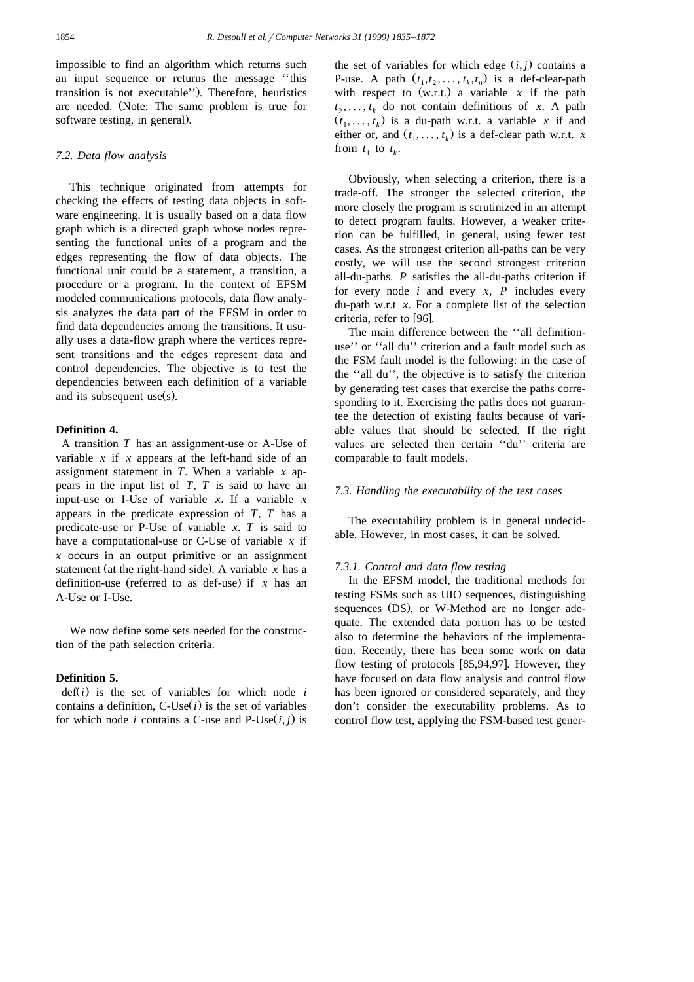impossible to find an algorithm which returns such an input sequence or returns the message ''this transition is not executable''). Therefore, heuristics are needed. (Note: The same problem is true for software testing, in general).

#### *7.2. Data flow analysis*

This technique originated from attempts for checking the effects of testing data objects in software engineering. It is usually based on a data flow graph which is a directed graph whose nodes representing the functional units of a program and the edges representing the flow of data objects. The functional unit could be a statement, a transition, a procedure or a program. In the context of EFSM modeled communications protocols, data flow analysis analyzes the data part of the EFSM in order to find data dependencies among the transitions. It usually uses a data-flow graph where the vertices represent transitions and the edges represent data and control dependencies. The objective is to test the dependencies between each definition of a variable and its subsequent use(s).

## **Definition 4.**

A transition *T* has an assignment-use or A-Use of variable *x* if *x* appears at the left-hand side of an assignment statement in *T*. When a variable *x* appears in the input list of *T*, *T* is said to have an input-use or I-Use of variable *x*. If a variable *x* appears in the predicate expression of *T*, *T* has a predicate-use or P-Use of variable *x*. *T* is said to have a computational-use or C-Use of variable *x* if *x* occurs in an output primitive or an assignment statement (at the right-hand side). A variable  $x$  has a definition-use (referred to as def-use) if  $x$  has an A-Use or I-Use.

We now define some sets needed for the construction of the path selection criteria.

### **Definition 5.**

 $def(i)$  is the set of variables for which node *i* contains a definition,  $C$ -Use $(i)$  is the set of variables for which node *i* contains a C-use and  $P$ -Use $(i, j)$  is

the set of variables for which edge  $(i, j)$  contains a P-use. A path  $(t_1, t_2, \ldots, t_k, t_n)$  is a def-clear-path with respect to  $(w.r.t.)$  a variable x if the path  $t_2, \ldots, t_k$  do not contain definitions of *x*. A path  $(t_1, \ldots, t_k)$  is a du-path w.r.t. a variable x if and either or, and  $(t_1, \ldots, t_k)$  is a def-clear path w.r.t. *x* from  $t_1$  to  $t_k$ .

Obviously, when selecting a criterion, there is a trade-off. The stronger the selected criterion, the more closely the program is scrutinized in an attempt to detect program faults. However, a weaker criterion can be fulfilled, in general, using fewer test cases. As the strongest criterion all-paths can be very costly, we will use the second strongest criterion all-du-paths. *P* satisfies the all-du-paths criterion if for every node *i* and every *x*, *P* includes every du-path w.r.t *x*. For a complete list of the selection criteria, refer to [96].

The main difference between the ''all definitionuse'' or ''all du'' criterion and a fault model such as the FSM fault model is the following: in the case of the ''all du'', the objective is to satisfy the criterion by generating test cases that exercise the paths corresponding to it. Exercising the paths does not guarantee the detection of existing faults because of variable values that should be selected. If the right values are selected then certain ''du'' criteria are comparable to fault models.

#### *7.3. Handling the executability of the test cases*

The executability problem is in general undecidable. However, in most cases, it can be solved.

#### *7.3.1. Control and data flow testing*

In the EFSM model, the traditional methods for testing FSMs such as UIO sequences, distinguishing sequences (DS), or W-Method are no longer adequate. The extended data portion has to be tested also to determine the behaviors of the implementation. Recently, there has been some work on data flow testing of protocols  $[85,94,97]$ . However, they have focused on data flow analysis and control flow has been ignored or considered separately, and they don't consider the executability problems. As to control flow test, applying the FSM-based test gener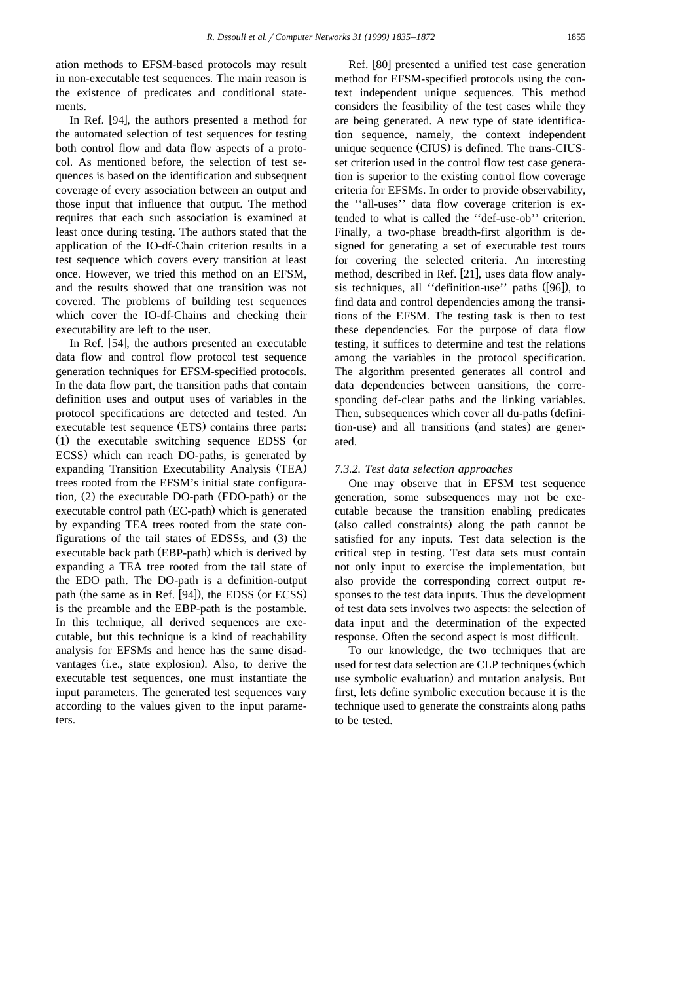ation methods to EFSM-based protocols may result in non-executable test sequences. The main reason is the existence of predicates and conditional statements.

In Ref.  $[94]$ , the authors presented a method for the automated selection of test sequences for testing both control flow and data flow aspects of a protocol. As mentioned before, the selection of test sequences is based on the identification and subsequent coverage of every association between an output and those input that influence that output. The method requires that each such association is examined at least once during testing. The authors stated that the application of the IO-df-Chain criterion results in a test sequence which covers every transition at least once. However, we tried this method on an EFSM, and the results showed that one transition was not covered. The problems of building test sequences which cover the IO-df-Chains and checking their executability are left to the user.

In Ref. [54], the authors presented an executable data flow and control flow protocol test sequence generation techniques for EFSM-specified protocols. In the data flow part, the transition paths that contain definition uses and output uses of variables in the protocol specifications are detected and tested. An executable test sequence (ETS) contains three parts:  $(1)$  the executable switching sequence EDSS (or ECSS) which can reach DO-paths, is generated by expanding Transition Executability Analysis (TEA) trees rooted from the EFSM's initial state configuration,  $(2)$  the executable DO-path (EDO-path) or the executable control path (EC-path) which is generated by expanding TEA trees rooted from the state configurations of the tail states of EDSSs, and  $(3)$  the executable back path (EBP-path) which is derived by expanding a TEA tree rooted from the tail state of the EDO path. The DO-path is a definition-output path (the same as in Ref.  $[94]$ ), the EDSS (or ECSS) is the preamble and the EBP-path is the postamble. In this technique, all derived sequences are executable, but this technique is a kind of reachability analysis for EFSMs and hence has the same disadvantages (i.e., state explosion). Also, to derive the executable test sequences, one must instantiate the input parameters. The generated test sequences vary according to the values given to the input parameters.

Ref. [80] presented a unified test case generation method for EFSM-specified protocols using the context independent unique sequences. This method considers the feasibility of the test cases while they are being generated. A new type of state identification sequence, namely, the context independent unique sequence (CIUS) is defined. The trans-CIUSset criterion used in the control flow test case generation is superior to the existing control flow coverage criteria for EFSMs. In order to provide observability, the ''all-uses'' data flow coverage criterion is extended to what is called the ''def-use-ob'' criterion. Finally, a two-phase breadth-first algorithm is designed for generating a set of executable test tours for covering the selected criteria. An interesting method, described in Ref. [21], uses data flow analysis techniques, all "definition-use" paths  $(96)$ , to find data and control dependencies among the transitions of the EFSM. The testing task is then to test these dependencies. For the purpose of data flow testing, it suffices to determine and test the relations among the variables in the protocol specification. The algorithm presented generates all control and data dependencies between transitions, the corresponding def-clear paths and the linking variables. Then, subsequences which cover all du-paths (definition-use) and all transitions (and states) are generated.

## *7.3.2. Test data selection approaches*

One may observe that in EFSM test sequence generation, some subsequences may not be executable because the transition enabling predicates (also called constraints) along the path cannot be satisfied for any inputs. Test data selection is the critical step in testing. Test data sets must contain not only input to exercise the implementation, but also provide the corresponding correct output responses to the test data inputs. Thus the development of test data sets involves two aspects: the selection of data input and the determination of the expected response. Often the second aspect is most difficult.

To our knowledge, the two techniques that are used for test data selection are CLP techniques (which use symbolic evaluation) and mutation analysis. But first, lets define symbolic execution because it is the technique used to generate the constraints along paths to be tested.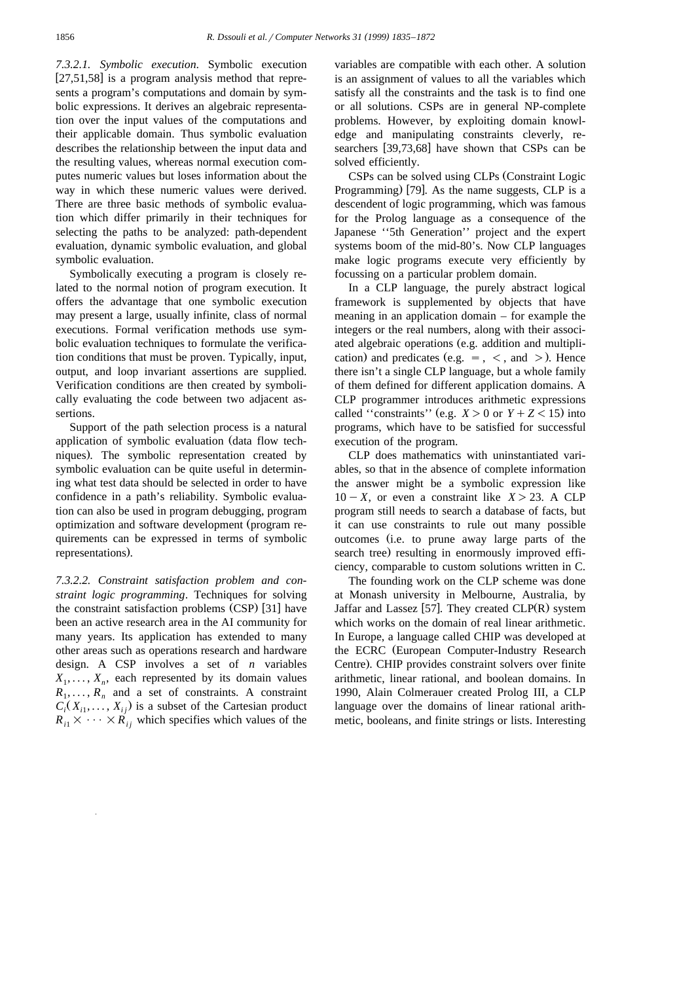*7.3.2.1. Symbolic execution*. Symbolic execution  $[27,51,58]$  is a program analysis method that represents a program's computations and domain by symbolic expressions. It derives an algebraic representation over the input values of the computations and their applicable domain. Thus symbolic evaluation describes the relationship between the input data and the resulting values, whereas normal execution computes numeric values but loses information about the way in which these numeric values were derived. There are three basic methods of symbolic evaluation which differ primarily in their techniques for selecting the paths to be analyzed: path-dependent evaluation, dynamic symbolic evaluation, and global symbolic evaluation.

Symbolically executing a program is closely related to the normal notion of program execution. It offers the advantage that one symbolic execution may present a large, usually infinite, class of normal executions. Formal verification methods use symbolic evaluation techniques to formulate the verification conditions that must be proven. Typically, input, output, and loop invariant assertions are supplied. Verification conditions are then created by symbolically evaluating the code between two adjacent assertions.

Support of the path selection process is a natural application of symbolic evaluation (data flow techniques). The symbolic representation created by symbolic evaluation can be quite useful in determining what test data should be selected in order to have confidence in a path's reliability. Symbolic evaluation can also be used in program debugging, program optimization and software development (program requirements can be expressed in terms of symbolic representations).

*7.3.2.2. Constraint satisfaction problem and constraint logic programming*. Techniques for solving the constraint satisfaction problems (CSP) [31] have been an active research area in the AI community for many years. Its application has extended to many other areas such as operations research and hardware design. A CSP involves a set of *n* variables  $X_1, \ldots, X_n$ , each represented by its domain values  $R_1, \ldots, R_n$  and a set of constraints. A constraint  $C_i(X_{i1}, \ldots, X_{i}$  is a subset of the Cartesian product  $R_{i1} \times \cdots \times R_{ij}$  which specifies which values of the

variables are compatible with each other. A solution is an assignment of values to all the variables which satisfy all the constraints and the task is to find one or all solutions. CSPs are in general NP-complete problems. However, by exploiting domain knowledge and manipulating constraints cleverly, researchers  $[39,73,68]$  have shown that CSPs can be solved efficiently.

CSPs can be solved using CLPs (Constraint Logic Programming) [79]. As the name suggests, CLP is a descendent of logic programming, which was famous for the Prolog language as a consequence of the Japanese ''5th Generation'' project and the expert systems boom of the mid-80's. Now CLP languages make logic programs execute very efficiently by focussing on a particular problem domain.

In a CLP language, the purely abstract logical framework is supplemented by objects that have meaning in an application domain – for example the integers or the real numbers, along with their associated algebraic operations (e.g. addition and multiplication) and predicates (e.g.  $=$  ,  $\lt$  , and  $\gt$ ). Hence there isn't a single CLP language, but a whole family of them defined for different application domains. A CLP programmer introduces arithmetic expressions called "constraints" (e.g.  $X > 0$  or  $Y + Z < 15$ ) into programs, which have to be satisfied for successful execution of the program.

CLP does mathematics with uninstantiated variables, so that in the absence of complete information the answer might be a symbolic expression like  $10-X$ , or even a constraint like  $X > 23$ . A CLP program still needs to search a database of facts, but it can use constraints to rule out many possible outcomes (i.e. to prune away large parts of the search tree) resulting in enormously improved efficiency, comparable to custom solutions written in C.

The founding work on the CLP scheme was done at Monash university in Melbourne, Australia, by Jaffar and Lassez [57]. They created  $CLP(R)$  system which works on the domain of real linear arithmetic. In Europe, a language called CHIP was developed at the ECRC (European Computer-Industry Research Centre). CHIP provides constraint solvers over finite arithmetic, linear rational, and boolean domains. In 1990, Alain Colmerauer created Prolog III, a CLP language over the domains of linear rational arithmetic, booleans, and finite strings or lists. Interesting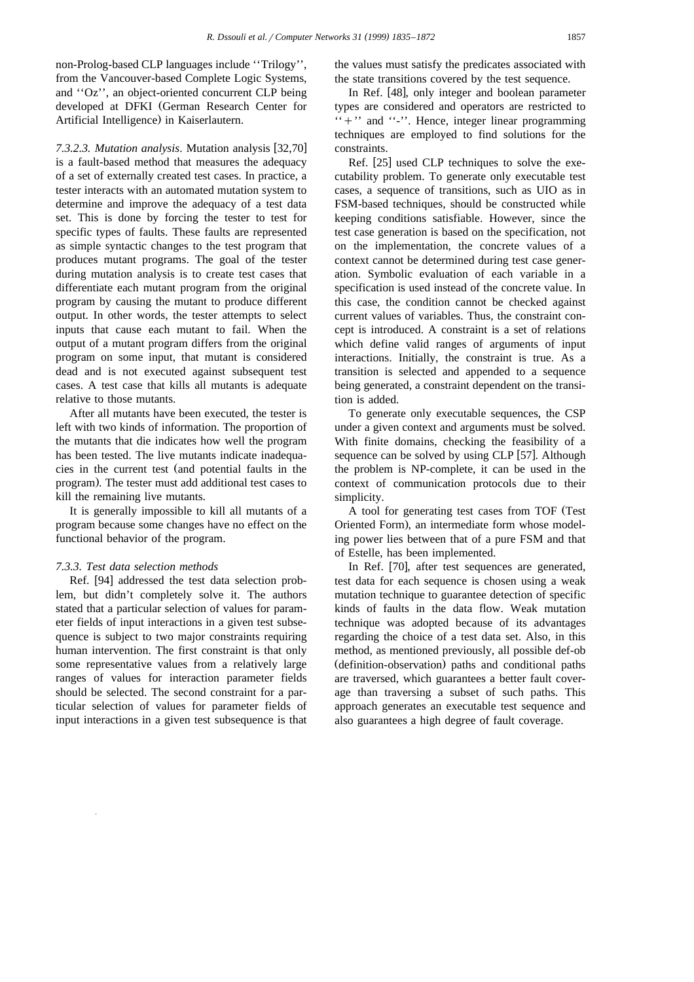non-Prolog-based CLP languages include ''Trilogy'', from the Vancouver-based Complete Logic Systems, and ''Oz'', an object-oriented concurrent CLP being developed at DFKI (German Research Center for Artificial Intelligence) in Kaiserlautern.

*7.3.2.3. Mutation analysis.* Mutation analysis [32,70] is a fault-based method that measures the adequacy of a set of externally created test cases. In practice, a tester interacts with an automated mutation system to determine and improve the adequacy of a test data set. This is done by forcing the tester to test for specific types of faults. These faults are represented as simple syntactic changes to the test program that produces mutant programs. The goal of the tester during mutation analysis is to create test cases that differentiate each mutant program from the original program by causing the mutant to produce different output. In other words, the tester attempts to select inputs that cause each mutant to fail. When the output of a mutant program differs from the original program on some input, that mutant is considered dead and is not executed against subsequent test cases. A test case that kills all mutants is adequate relative to those mutants.

After all mutants have been executed, the tester is left with two kinds of information. The proportion of the mutants that die indicates how well the program has been tested. The live mutants indicate inadequacies in the current test (and potential faults in the program). The tester must add additional test cases to kill the remaining live mutants.

It is generally impossible to kill all mutants of a program because some changes have no effect on the functional behavior of the program.

# *7.3.3. Test data selection methods*

Ref. [94] addressed the test data selection problem, but didn't completely solve it. The authors stated that a particular selection of values for parameter fields of input interactions in a given test subsequence is subject to two major constraints requiring human intervention. The first constraint is that only some representative values from a relatively large ranges of values for interaction parameter fields should be selected. The second constraint for a particular selection of values for parameter fields of input interactions in a given test subsequence is that the values must satisfy the predicates associated with the state transitions covered by the test sequence.

In Ref. [48], only integer and boolean parameter types are considered and operators are restricted to  $''$ +" and "-". Hence, integer linear programming techniques are employed to find solutions for the constraints.

Ref.  $[25]$  used CLP techniques to solve the executability problem. To generate only executable test cases, a sequence of transitions, such as UIO as in FSM-based techniques, should be constructed while keeping conditions satisfiable. However, since the test case generation is based on the specification, not on the implementation, the concrete values of a context cannot be determined during test case generation. Symbolic evaluation of each variable in a specification is used instead of the concrete value. In this case, the condition cannot be checked against current values of variables. Thus, the constraint concept is introduced. A constraint is a set of relations which define valid ranges of arguments of input interactions. Initially, the constraint is true. As a transition is selected and appended to a sequence being generated, a constraint dependent on the transition is added.

To generate only executable sequences, the CSP under a given context and arguments must be solved. With finite domains, checking the feasibility of a sequence can be solved by using CLP  $[57]$ . Although the problem is NP-complete, it can be used in the context of communication protocols due to their simplicity.

A tool for generating test cases from TOF (Test) Oriented Form), an intermediate form whose modeling power lies between that of a pure FSM and that of Estelle, has been implemented.

In Ref. [70], after test sequences are generated, test data for each sequence is chosen using a weak mutation technique to guarantee detection of specific kinds of faults in the data flow. Weak mutation technique was adopted because of its advantages regarding the choice of a test data set. Also, in this method, as mentioned previously, all possible def-ob (definition-observation) paths and conditional paths are traversed, which guarantees a better fault coverage than traversing a subset of such paths. This approach generates an executable test sequence and also guarantees a high degree of fault coverage.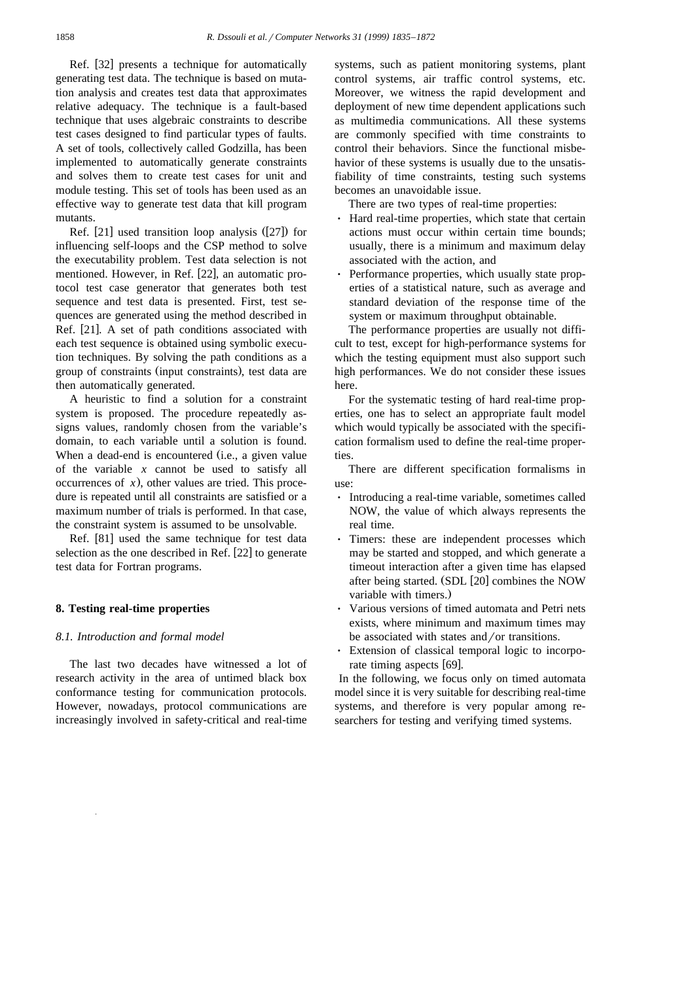Ref. [32] presents a technique for automatically generating test data. The technique is based on mutation analysis and creates test data that approximates relative adequacy. The technique is a fault-based technique that uses algebraic constraints to describe test cases designed to find particular types of faults. A set of tools, collectively called Godzilla, has been implemented to automatically generate constraints and solves them to create test cases for unit and module testing. This set of tools has been used as an effective way to generate test data that kill program mutants.

Ref.  $[21]$  used transition loop analysis  $(27)$  for influencing self-loops and the CSP method to solve the executability problem. Test data selection is not mentioned. However, in Ref. [22], an automatic protocol test case generator that generates both test sequence and test data is presented. First, test sequences are generated using the method described in Ref.  $[21]$ . A set of path conditions associated with each test sequence is obtained using symbolic execution techniques. By solving the path conditions as a group of constraints (input constraints), test data are then automatically generated.

A heuristic to find a solution for a constraint system is proposed. The procedure repeatedly assigns values, randomly chosen from the variable's domain, to each variable until a solution is found. When a dead-end is encountered (i.e., a given value of the variable *x* cannot be used to satisfy all occurrences of  $x$ ), other values are tried. This procedure is repeated until all constraints are satisfied or a maximum number of trials is performed. In that case, the constraint system is assumed to be unsolvable.

Ref. [81] used the same technique for test data selection as the one described in Ref. [22] to generate test data for Fortran programs.

## **8. Testing real-time properties**

### *8.1. Introduction and formal model*

The last two decades have witnessed a lot of research activity in the area of untimed black box conformance testing for communication protocols. However, nowadays, protocol communications are increasingly involved in safety-critical and real-time

systems, such as patient monitoring systems, plant control systems, air traffic control systems, etc. Moreover, we witness the rapid development and deployment of new time dependent applications such as multimedia communications. All these systems are commonly specified with time constraints to control their behaviors. Since the functional misbehavior of these systems is usually due to the unsatisfiability of time constraints, testing such systems becomes an unavoidable issue.

There are two types of real-time properties:

- Hard real-time properties, which state that certain actions must occur within certain time bounds; usually, there is a minimum and maximum delay associated with the action, and
- Performance properties, which usually state properties of a statistical nature, such as average and standard deviation of the response time of the system or maximum throughput obtainable.

The performance properties are usually not difficult to test, except for high-performance systems for which the testing equipment must also support such high performances. We do not consider these issues here.

For the systematic testing of hard real-time properties, one has to select an appropriate fault model which would typically be associated with the specification formalism used to define the real-time properties.

There are different specification formalisms in use:

- Introducing a real-time variable, sometimes called NOW, the value of which always represents the real time.
- Ø Timers: these are independent processes which may be started and stopped, and which generate a timeout interaction after a given time has elapsed after being started.  $(SDL [20]$  combines the NOW variable with timers..
- Ø Various versions of timed automata and Petri nets exists, where minimum and maximum times may be associated with states and/or transitions.
- Ø Extension of classical temporal logic to incorporate timing aspects [69].

In the following, we focus only on timed automata model since it is very suitable for describing real-time systems, and therefore is very popular among researchers for testing and verifying timed systems.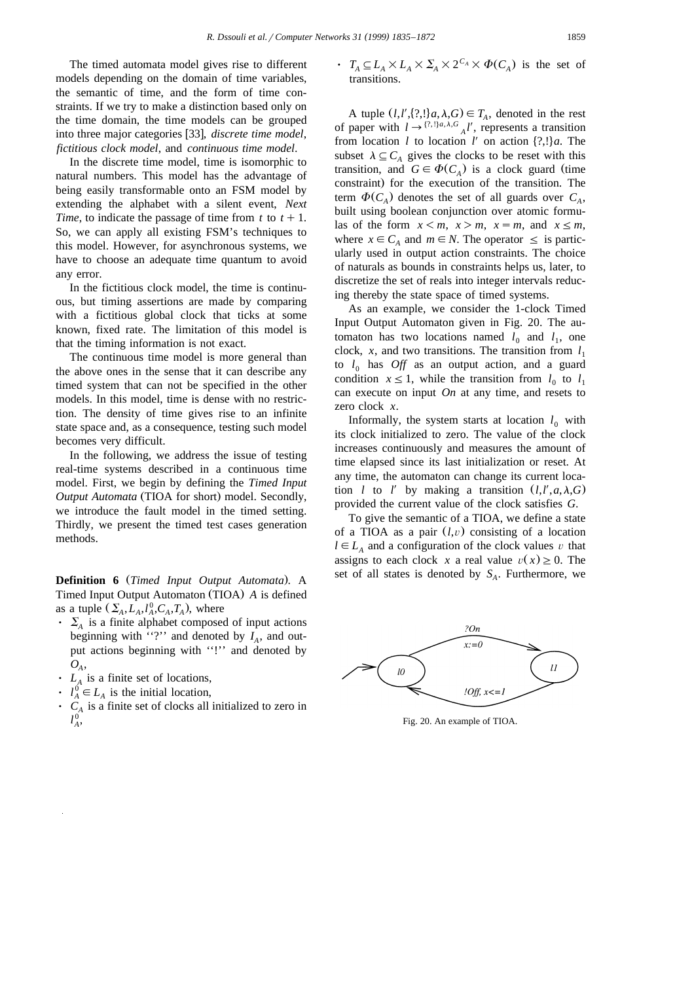The timed automata model gives rise to different models depending on the domain of time variables, the semantic of time, and the form of time constraints. If we try to make a distinction based only on the time domain, the time models can be grouped into three major categories [33], *discrete time model*, *fictitious clock model*, and *continuous time model*.

In the discrete time model, time is isomorphic to natural numbers. This model has the advantage of being easily transformable onto an FSM model by extending the alphabet with a silent event, *Next Time*, to indicate the passage of time from *t* to  $t+1$ . So, we can apply all existing FSM's techniques to this model. However, for asynchronous systems, we have to choose an adequate time quantum to avoid any error.

In the fictitious clock model, the time is continuous, but timing assertions are made by comparing with a fictitious global clock that ticks at some known, fixed rate. The limitation of this model is that the timing information is not exact.

The continuous time model is more general than the above ones in the sense that it can describe any timed system that can not be specified in the other models. In this model, time is dense with no restriction. The density of time gives rise to an infinite state space and, as a consequence, testing such model becomes very difficult.

In the following, we address the issue of testing real-time systems described in a continuous time model. First, we begin by defining the *Timed Input Output Automata* (TIOA for short) model. Secondly, we introduce the fault model in the timed setting. Thirdly, we present the timed test cases generation methods.

**Definition 6** (*Timed Input Output Automata*). A Timed Input Output Automaton (TIOA) A is defined as a tuple  $(\Sigma_A, L_A, l_A^0, C_A, T_A)$ , where

- $\cdot$   $\Sigma_A$  is a finite alphabet composed of input actions beginning with  $\cdot$ '?'' and denoted by  $I_A$ , and output actions beginning with ''!'' and denoted by  $O_{A}$
- $\cdot$  *L<sub>A</sub>* is a finite set of locations,
- $\cdot$   $l_A^0 \in L_A$  is the initial location,
- $\cdot$   $C_A$  is a finite set of clocks all initialized to zero in  $l_A^0$ ,

 $\cdot$   $T_A \subseteq L_A \times L_A \times \Sigma_A \times 2^{C_A} \times \Phi(C_A)$  is the set of transitions.

A tuple  $(l, l', \{?, !\}, a, \lambda, G) \in T_A$ , denoted in the rest of paper with  $l \rightarrow \binom{l^2, l^2, a, \lambda, G}{A} l'$ , represents a transition from location *l* to location *l'* on action  $\{?,!\}a$ . The subset  $\lambda \subseteq C_A$  gives the clocks to be reset with this transition, and  $G \in \Phi(C_A)$  is a clock guard (time constraint) for the execution of the transition. The term  $\Phi(C_4)$  denotes the set of all guards over  $C_4$ , built using boolean conjunction over atomic formulas of the form  $x < m$ ,  $x > m$ ,  $x = m$ , and  $x \le m$ , where  $x \in C_A$  and  $m \in N$ . The operator  $\leq$  is particularly used in output action constraints. The choice of naturals as bounds in constraints helps us, later, to discretize the set of reals into integer intervals reducing thereby the state space of timed systems.

As an example, we consider the 1-clock Timed Input Output Automaton given in Fig. 20. The automaton has two locations named  $l_0$  and  $l_1$ , one clock, *x*, and two transitions. The transition from  $l_1$ to  $l_0$  has *Off* as an output action, and a guard condition  $x \leq 1$ , while the transition from  $l_0$  to  $l_1$ can execute on input *On* at any time, and resets to zero clock *x*.

Informally, the system starts at location  $l_0$  with its clock initialized to zero. The value of the clock increases continuously and measures the amount of time elapsed since its last initialization or reset. At any time, the automaton can change its current location *l* to *l'* by making a transition  $(l, l', a, \lambda, G)$ . provided the current value of the clock satisfies *G*.

To give the semantic of a TIOA, we define a state of a TIOA as a pair  $(l, v)$  consisting of a location  $l \in L$ <sub>*A*</sub> and a configuration of the clock values v that assigns to each clock *x* a real value  $v(x) \ge 0$ . The set of all states is denoted by  $S_A$ . Furthermore, we



Fig. 20. An example of TIOA.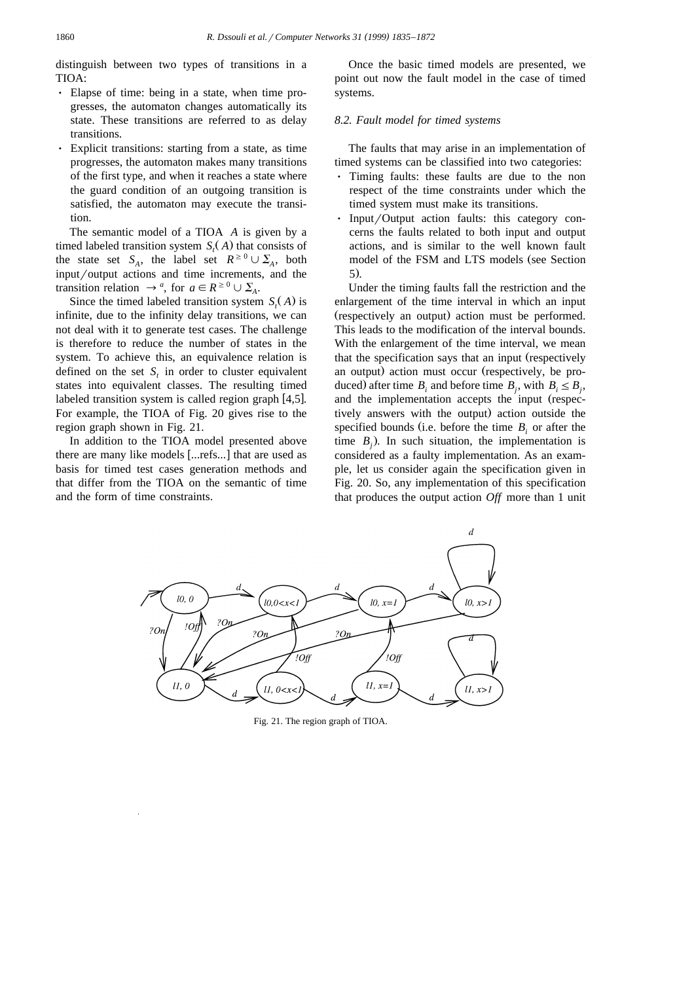distinguish between two types of transitions in a TIOA:

- Ø Elapse of time: being in a state, when time progresses, the automaton changes automatically its state. These transitions are referred to as delay transitions.
- Explicit transitions: starting from a state, as time progresses, the automaton makes many transitions of the first type, and when it reaches a state where the guard condition of an outgoing transition is satisfied, the automaton may execute the transition.

The semantic model of a TIOA *A* is given by a timed labeled transition system  $S_t(A)$  that consists of the state set  $S_A$ , the label set  $R \geq 0 \cup \Sigma_A$ , both input/output actions and time increments, and the transition relation  $\rightarrow$ <sup>*a*</sup>, for  $a \in R^{\geq 0} \cup \Sigma_A$ .

Since the timed labeled transition system  $S(A)$  is infinite, due to the infinity delay transitions, we can not deal with it to generate test cases. The challenge is therefore to reduce the number of states in the system. To achieve this, an equivalence relation is defined on the set  $S_t$  in order to cluster equivalent states into equivalent classes. The resulting timed labeled transition system is called region graph  $[4,5]$ . For example, the TIOA of Fig. 20 gives rise to the region graph shown in Fig. 21.

In addition to the TIOA model presented above there are many like models [...refs...] that are used as basis for timed test cases generation methods and that differ from the TIOA on the semantic of time and the form of time constraints.

Once the basic timed models are presented, we point out now the fault model in the case of timed systems.

## *8.2. Fault model for timed systems*

The faults that may arise in an implementation of timed systems can be classified into two categories:

- Ø Timing faults: these faults are due to the non respect of the time constraints under which the timed system must make its transitions.
- $\cdot$  Input/Output action faults: this category concerns the faults related to both input and output actions, and is similar to the well known fault model of the FSM and LTS models (see Section 5).

Under the timing faults fall the restriction and the enlargement of the time interval in which an input (respectively an output) action must be performed. This leads to the modification of the interval bounds. With the enlargement of the time interval, we mean that the specification says that an input (respectively an output) action must occur (respectively, be produced) after time  $B_i$  and before time  $B_i$ , with  $B_i \leq B_i$ , and the implementation accepts the input (respectively answers with the output) action outside the specified bounds (i.e. before the time  $B_i$  or after the time  $B_i$ ). In such situation, the implementation is considered as a faulty implementation. As an example, let us consider again the specification given in Fig. 20. So, any implementation of this specification that produces the output action *Off* more than 1 unit



Fig. 21. The region graph of TIOA.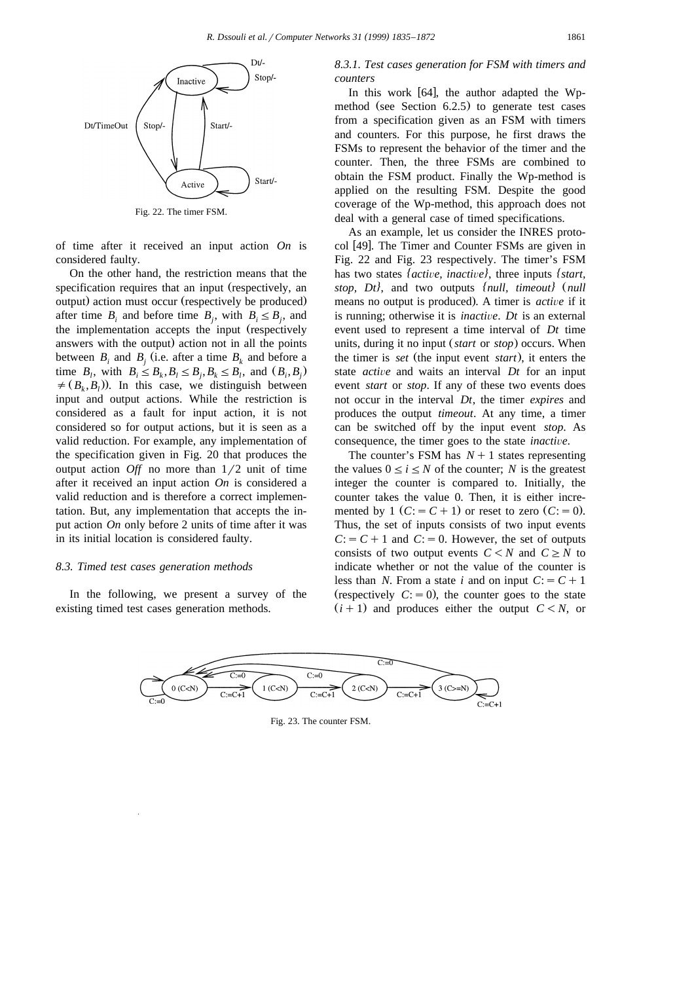

Fig. 22. The timer FSM.

of time after it received an input action *On* is considered faulty.

On the other hand, the restriction means that the specification requires that an input (respectively, an output) action must occur (respectively be produced) after time  $B_i$  and before time  $B_i$ , with  $B_i \leq B_i$ , and the implementation accepts the input (respectively answers with the output) action not in all the points between  $B_i$  and  $B_j$  (i.e. after a time  $B_k$  and before a time  $B_i$ , with  $B_i \leq B_k$ ,  $B_i \leq B_i$ ,  $B_k \leq B_i$ , and  $(B_i, B_i)$  $\neq (B_k, B_l)$ . In this case, we distinguish between input and output actions. While the restriction is considered as a fault for input action, it is not considered so for output actions, but it is seen as a valid reduction. For example, any implementation of the specification given in Fig. 20 that produces the output action *Off* no more than  $1/2$  unit of time after it received an input action *On* is considered a valid reduction and is therefore a correct implementation. But, any implementation that accepts the input action *On* only before 2 units of time after it was in its initial location is considered faulty.

#### *8.3. Timed test cases generation methods*

In the following, we present a survey of the existing timed test cases generation methods.

# *8.3.1. Test cases generation for FSM with timers and counters*

In this work  $[64]$ , the author adapted the Wpmethod (see Section  $6.2.5$ ) to generate test cases from a specification given as an FSM with timers and counters. For this purpose, he first draws the FSMs to represent the behavior of the timer and the counter. Then, the three FSMs are combined to obtain the FSM product. Finally the Wp-method is applied on the resulting FSM. Despite the good coverage of the Wp-method, this approach does not deal with a general case of timed specifications.

As an example, let us consider the INRES protocol [49]. The Timer and Counter FSMs are given in Fig. 22 and Fig. 23 respectively. The timer's FSM has two states *{active, inactive}*, three inputs *{start, stop, Dt}*, and two outputs *{null, timeout}* (*null* means no output is produced). A timer is *active* if it is running; otherwise it is *inactive*. *Dt* is an external event used to represent a time interval of *Dt* time units, during it no input (*start* or *stop*) occurs. When the timer is *set* (the input event *start*), it enters the state *active* and waits an interval *Dt* for an input event *start* or *stop*. If any of these two events does not occur in the interval *Dt*, the timer *expires* and produces the output *timeout*. At any time, a timer can be switched off by the input event *stop*. As consequence, the timer goes to the state *inactive*.

The counter's FSM has  $N+1$  states representing the values  $0 \le i \le N$  of the counter; *N* is the greatest integer the counter is compared to. Initially, the counter takes the value 0. Then, it is either incremented by 1  $(C: = C + 1)$  or reset to zero  $(C: = 0)$ . Thus, the set of inputs consists of two input events  $C: C = T + 1$  and  $C: C = 0$ . However, the set of outputs consists of two output events  $C < N$  and  $C \ge N$  to indicate whether or not the value of the counter is less than *N*. From a state *i* and on input  $C = C + 1$ (respectively  $C: = 0$ ), the counter goes to the state  $(i + 1)$  and produces either the output  $C < N$ , or



Fig. 23. The counter FSM.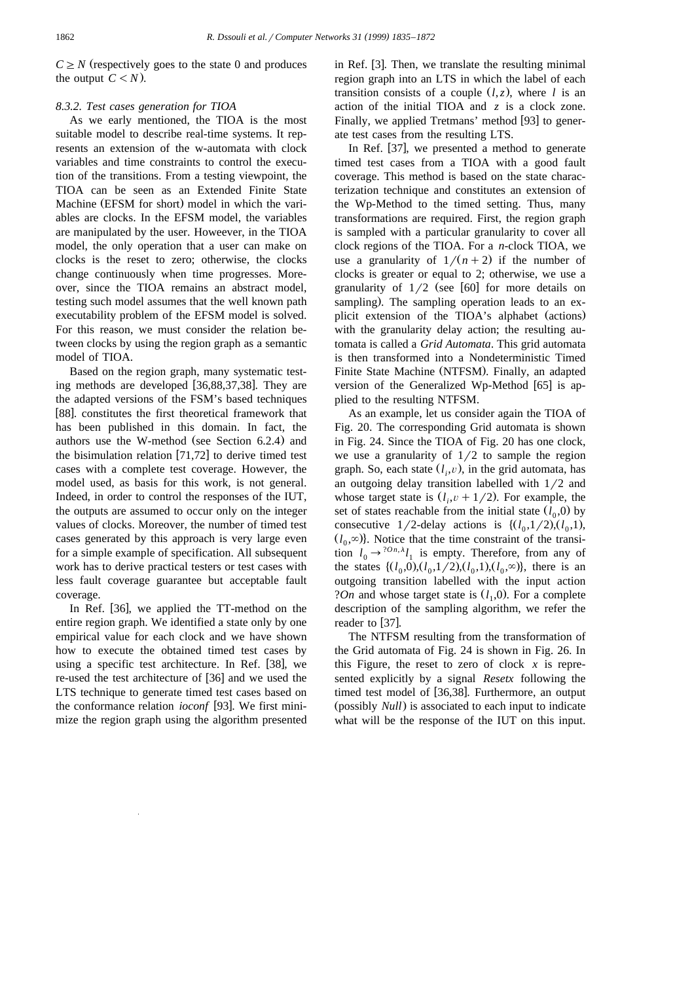$C \geq N$  (respectively goes to the state 0 and produces the output  $C < N$ ).

## *8.3.2. Test cases generation for TIOA*

As we early mentioned, the TIOA is the most suitable model to describe real-time systems. It represents an extension of the w-automata with clock variables and time constraints to control the execution of the transitions. From a testing viewpoint, the TIOA can be seen as an Extended Finite State Machine (EFSM for short) model in which the variables are clocks. In the EFSM model, the variables are manipulated by the user. Howeever, in the TIOA model, the only operation that a user can make on clocks is the reset to zero; otherwise, the clocks change continuously when time progresses. Moreover, since the TIOA remains an abstract model, testing such model assumes that the well known path executability problem of the EFSM model is solved. For this reason, we must consider the relation between clocks by using the region graph as a semantic model of TIOA.

Based on the region graph, many systematic testing methods are developed  $[36,88,37,38]$ . They are the adapted versions of the FSM's based techniques [88]. constitutes the first theoretical framework that has been published in this domain. In fact, the authors use the W-method (see Section 6.2.4) and the bisimulation relation  $[71,72]$  to derive timed test cases with a complete test coverage. However, the model used, as basis for this work, is not general. Indeed, in order to control the responses of the IUT, the outputs are assumed to occur only on the integer values of clocks. Moreover, the number of timed test cases generated by this approach is very large even for a simple example of specification. All subsequent work has to derive practical testers or test cases with less fault coverage guarantee but acceptable fault coverage.

In Ref. [36], we applied the TT-method on the entire region graph. We identified a state only by one empirical value for each clock and we have shown how to execute the obtained timed test cases by using a specific test architecture. In Ref.  $[38]$ , we re-used the test architecture of [36] and we used the LTS technique to generate timed test cases based on the conformance relation *ioconf* [93]. We first minimize the region graph using the algorithm presented

in Ref.  $[3]$ . Then, we translate the resulting minimal region graph into an LTS in which the label of each transition consists of a couple  $(l, z)$ , where *l* is an action of the initial TIOA and *z* is a clock zone. Finally, we applied Tretmans' method [93] to generate test cases from the resulting LTS.

In Ref. [37], we presented a method to generate timed test cases from a TIOA with a good fault coverage. This method is based on the state characterization technique and constitutes an extension of the Wp-Method to the timed setting. Thus, many transformations are required. First, the region graph is sampled with a particular granularity to cover all clock regions of the TIOA. For a *n*-clock TIOA, we use a granularity of  $1/(n+2)$  if the number of clocks is greater or equal to 2; otherwise, we use a granularity of  $1/2$  (see [60] for more details on sampling). The sampling operation leads to an explicit extension of the TIOA's alphabet (actions) with the granularity delay action; the resulting automata is called a *Grid Automata*. This grid automata is then transformed into a Nondeterministic Timed Finite State Machine (NTFSM). Finally, an adapted version of the Generalized Wp-Method  $[65]$  is applied to the resulting NTFSM.

As an example, let us consider again the TIOA of Fig. 20. The corresponding Grid automata is shown in Fig. 24. Since the TIOA of Fig. 20 has one clock, we use a granularity of  $1/2$  to sample the region graph. So, each state  $(l_i, v)$ , in the grid automata, has an outgoing delay transition labelled with  $1/2$  and whose target state is  $(l_i, v + 1/2)$ . For example, the set of states reachable from the initial state  $(l_0, 0)$  by consecutive 1/2-delay actions is  $\{(l_0, 1/2), (l_0, 1)\}$  $(l_0, \infty)$ . Notice that the time constraint of the transition  $l_0 \rightarrow {}^{20n,\lambda}l_1$  is empty. Therefore, from any of the states  $\{(l_0, 0), (l_0, 1/2), (l_0, 1), (l_0, \infty)\}\)$ , there is an outgoing transition labelled with the input action *?On* and whose target state is  $(l_1, 0)$ . For a complete description of the sampling algorithm, we refer the reader to  $[37]$ .

The NTFSM resulting from the transformation of the Grid automata of Fig. 24 is shown in Fig. 26. In this Figure, the reset to zero of clock *x* is represented explicitly by a signal *Resetx* following the timed test model of  $[36,38]$ . Furthermore, an output (possibly *Null*) is associated to each input to indicate what will be the response of the IUT on this input.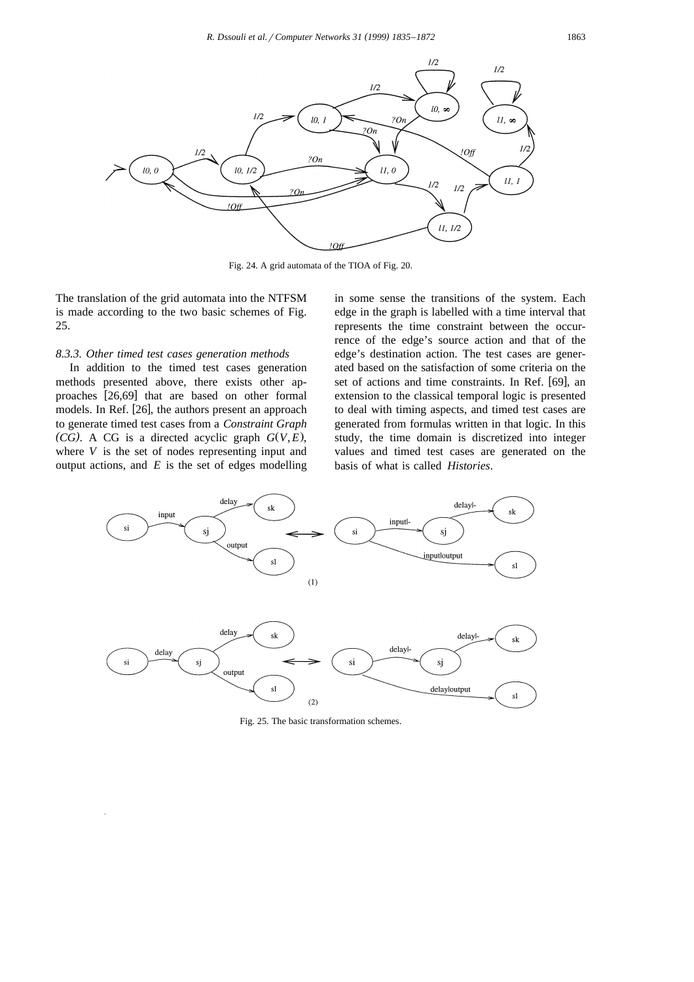

Fig. 24. A grid automata of the TIOA of Fig. 20.

The translation of the grid automata into the NTFSM is made according to the two basic schemes of Fig. 25.

## *8.3.3. Other timed test cases generation methods*

In addition to the timed test cases generation methods presented above, there exists other approaches  $[26,69]$  that are based on other formal models. In Ref. [26], the authors present an approach to generate timed test cases from a *Constraint Graph (CG)*. A CG is a directed acyclic graph  $G(V, E)$ , where *V* is the set of nodes representing input and output actions, and  $E$  is the set of edges modelling in some sense the transitions of the system. Each edge in the graph is labelled with a time interval that represents the time constraint between the occurrence of the edge's source action and that of the edge's destination action. The test cases are generated based on the satisfaction of some criteria on the set of actions and time constraints. In Ref. [69], an extension to the classical temporal logic is presented to deal with timing aspects, and timed test cases are generated from formulas written in that logic. In this study, the time domain is discretized into integer values and timed test cases are generated on the basis of what is called *Histories*.



Fig. 25. The basic transformation schemes.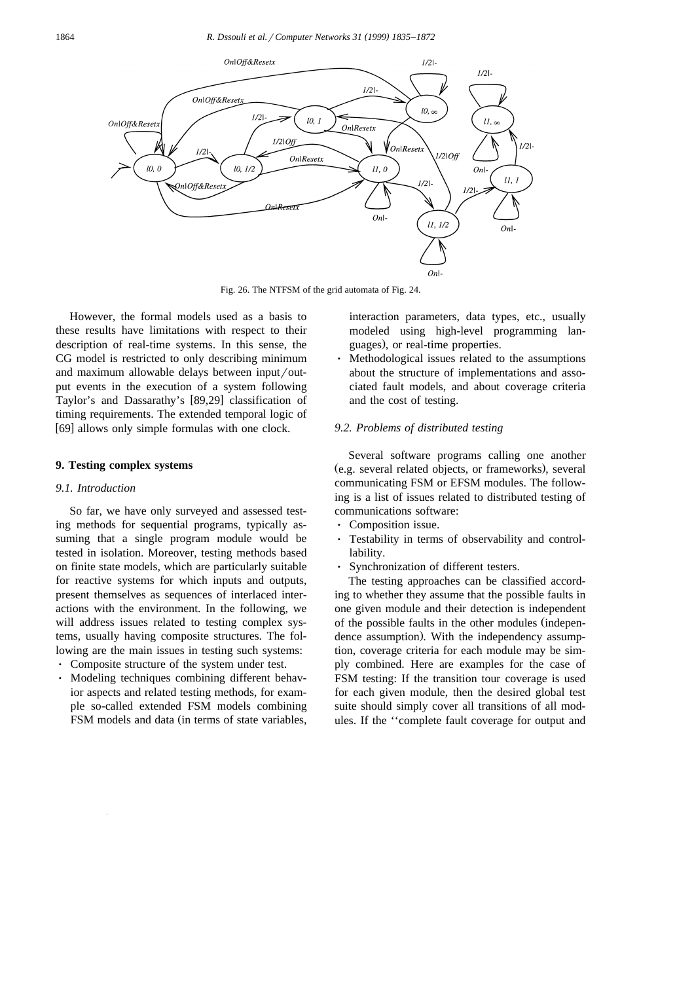

Fig. 26. The NTFSM of the grid automata of Fig. 24.

However, the formal models used as a basis to these results have limitations with respect to their description of real-time systems. In this sense, the CG model is restricted to only describing minimum and maximum allowable delays between input/output events in the execution of a system following Taylor's and Dassarathy's [89,29] classification of timing requirements. The extended temporal logic of  $[69]$  allows only simple formulas with one clock.

#### **9. Testing complex systems**

# *9.1. Introduction*

So far, we have only surveyed and assessed testing methods for sequential programs, typically assuming that a single program module would be tested in isolation. Moreover, testing methods based on finite state models, which are particularly suitable for reactive systems for which inputs and outputs, present themselves as sequences of interlaced interactions with the environment. In the following, we will address issues related to testing complex systems, usually having composite structures. The following are the main issues in testing such systems:

- Ø Composite structure of the system under test.
- Modeling techniques combining different behavior aspects and related testing methods, for example so-called extended FSM models combining FSM models and data (in terms of state variables,

interaction parameters, data types, etc., usually modeled using high-level programming languages), or real-time properties.

• Methodological issues related to the assumptions about the structure of implementations and associated fault models, and about coverage criteria and the cost of testing.

#### *9.2. Problems of distributed testing*

Several software programs calling one another (e.g. several related objects, or frameworks), several communicating FSM or EFSM modules. The following is a list of issues related to distributed testing of communications software:

- Composition issue.
- Testability in terms of observability and controllability.
- Synchronization of different testers.

The testing approaches can be classified according to whether they assume that the possible faults in one given module and their detection is independent of the possible faults in the other modules (independence assumption). With the independency assumption, coverage criteria for each module may be simply combined. Here are examples for the case of FSM testing: If the transition tour coverage is used for each given module, then the desired global test suite should simply cover all transitions of all modules. If the ''complete fault coverage for output and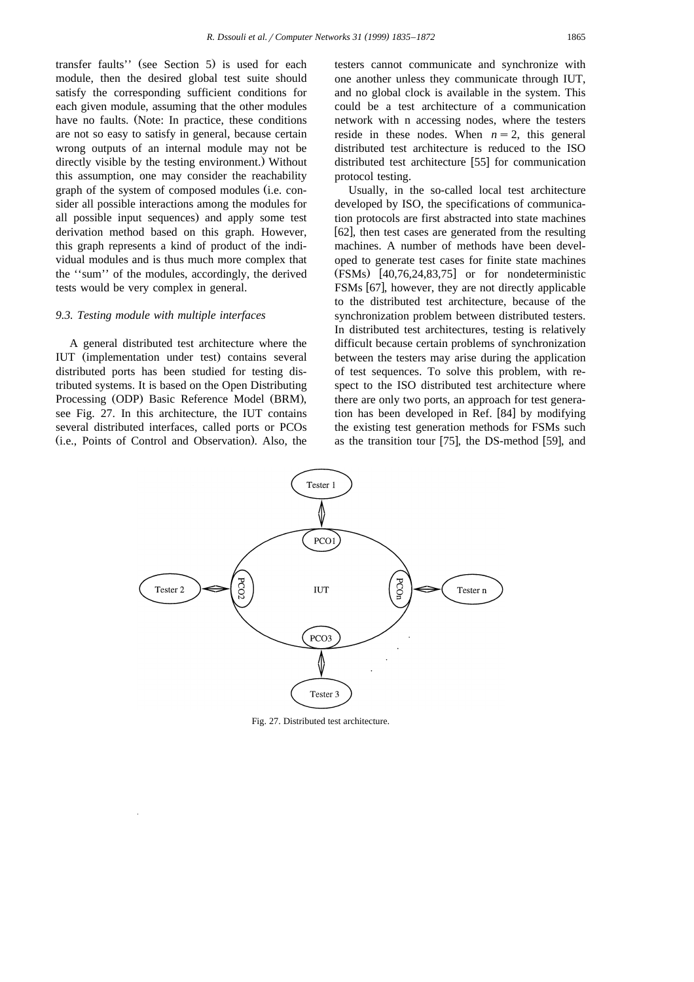transfer faults" (see Section 5) is used for each module, then the desired global test suite should satisfy the corresponding sufficient conditions for each given module, assuming that the other modules have no faults. (Note: In practice, these conditions are not so easy to satisfy in general, because certain wrong outputs of an internal module may not be directly visible by the testing environment.) Without this assumption, one may consider the reachability graph of the system of composed modules (i.e. consider all possible interactions among the modules for all possible input sequences) and apply some test derivation method based on this graph. However, this graph represents a kind of product of the individual modules and is thus much more complex that the ''sum'' of the modules, accordingly, the derived tests would be very complex in general.

#### *9.3. Testing module with multiple interfaces*

A general distributed test architecture where the IUT (implementation under test) contains several distributed ports has been studied for testing distributed systems. It is based on the Open Distributing Processing (ODP) Basic Reference Model (BRM), see Fig. 27. In this architecture, the IUT contains several distributed interfaces, called ports or PCOs (i.e., Points of Control and Observation). Also, the

testers cannot communicate and synchronize with one another unless they communicate through IUT, and no global clock is available in the system. This could be a test architecture of a communication network with n accessing nodes, where the testers reside in these nodes. When  $n = 2$ , this general distributed test architecture is reduced to the ISO distributed test architecture  $[55]$  for communication protocol testing.

Usually, in the so-called local test architecture developed by ISO, the specifications of communication protocols are first abstracted into state machines  $\left[62\right]$ , then test cases are generated from the resulting machines. A number of methods have been developed to generate test cases for finite state machines  $(FSMs)$   $[40,76,24,83,75]$  or for nondeterministic FSMs  $[67]$ , however, they are not directly applicable to the distributed test architecture, because of the synchronization problem between distributed testers. In distributed test architectures, testing is relatively difficult because certain problems of synchronization between the testers may arise during the application of test sequences. To solve this problem, with respect to the ISO distributed test architecture where there are only two ports, an approach for test generation has been developed in Ref. [84] by modifying the existing test generation methods for FSMs such as the transition tour  $[75]$ , the DS-method  $[59]$ , and



Fig. 27. Distributed test architecture.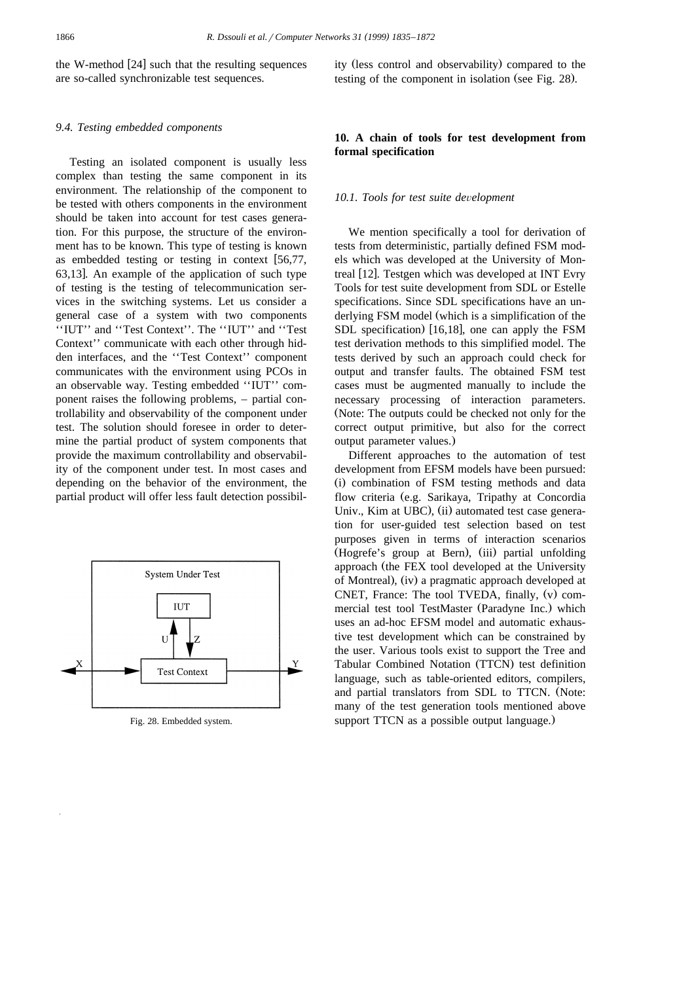the W-method  $[24]$  such that the resulting sequences are so-called synchronizable test sequences.

*9.4. Testing embedded components*

Testing an isolated component is usually less complex than testing the same component in its environment. The relationship of the component to be tested with others components in the environment should be taken into account for test cases generation. For this purpose, the structure of the environment has to be known. This type of testing is known as embedded testing or testing in context  $[56,77]$ ,  $63,13$ . An example of the application of such type of testing is the testing of telecommunication services in the switching systems. Let us consider a general case of a system with two components ''IUT'' and ''Test Context''. The ''IUT'' and ''Test Context'' communicate with each other through hidden interfaces, and the ''Test Context'' component communicates with the environment using PCOs in an observable way. Testing embedded ''IUT'' component raises the following problems, – partial controllability and observability of the component under test. The solution should foresee in order to determine the partial product of system components that provide the maximum controllability and observability of the component under test. In most cases and depending on the behavior of the environment, the partial product will offer less fault detection possibil-



Fig. 28. Embedded system.

ity (less control and observability) compared to the testing of the component in isolation (see Fig.  $28$ ).

# **10. A chain of tools for test development from formal specification**

## 10.1. Tools for test suite development

We mention specifically a tool for derivation of tests from deterministic, partially defined FSM models which was developed at the University of Montreal  $[12]$ . Testgen which was developed at INT Evry Tools for test suite development from SDL or Estelle specifications. Since SDL specifications have an underlying FSM model (which is a simplification of the SDL specification)  $[16,18]$ , one can apply the FSM test derivation methods to this simplified model. The tests derived by such an approach could check for output and transfer faults. The obtained FSM test cases must be augmented manually to include the necessary processing of interaction parameters. (Note: The outputs could be checked not only for the correct output primitive, but also for the correct output parameter values..

Different approaches to the automation of test development from EFSM models have been pursued: (i) combination of FSM testing methods and data flow criteria (e.g. Sarikaya, Tripathy at Concordia Univ., Kim at UBC), (ii) automated test case generation for user-guided test selection based on test purposes given in terms of interaction scenarios (Hogrefe's group at Bern), (iii) partial unfolding approach (the FEX tool developed at the University of Montreal), (iv) a pragmatic approach developed at CNET, France: The tool TVEDA, finally,  $(v)$  commercial test tool TestMaster (Paradyne Inc.) which uses an ad-hoc EFSM model and automatic exhaustive test development which can be constrained by the user. Various tools exist to support the Tree and Tabular Combined Notation (TTCN) test definition language, such as table-oriented editors, compilers, and partial translators from SDL to TTCN. (Note: many of the test generation tools mentioned above support TTCN as a possible output language.)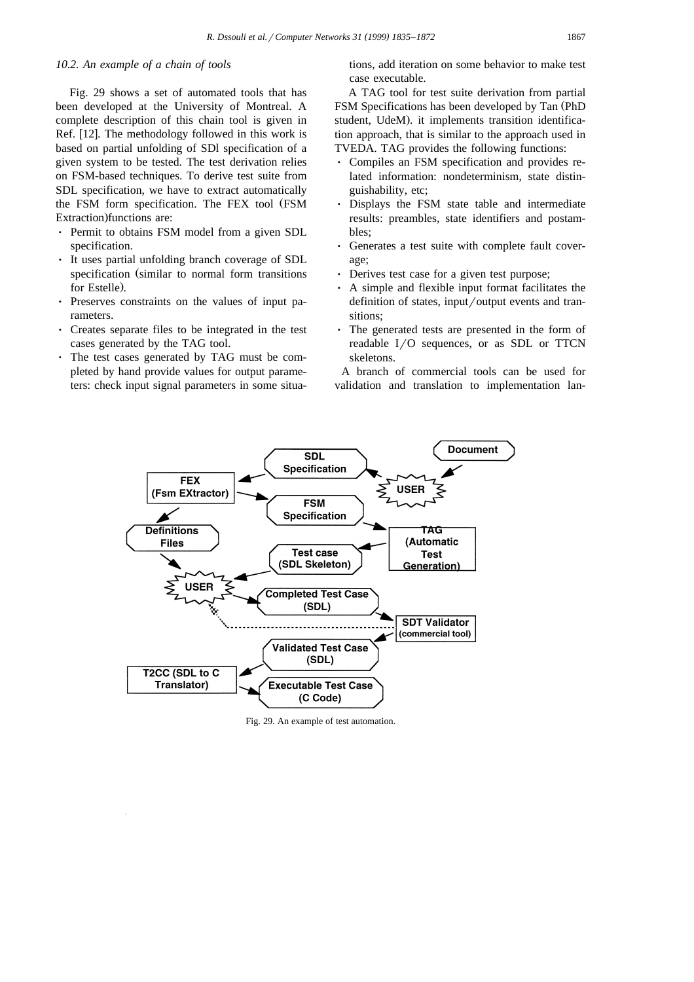# *10.2. An example of a chain of tools*

Fig. 29 shows a set of automated tools that has been developed at the University of Montreal. A complete description of this chain tool is given in Ref.  $[12]$ . The methodology followed in this work is based on partial unfolding of SDl specification of a given system to be tested. The test derivation relies on FSM-based techniques. To derive test suite from SDL specification, we have to extract automatically the FSM form specification. The FEX tool (FSM Extraction functions are:

- Permit to obtains FSM model from a given SDL specification.
- It uses partial unfolding branch coverage of SDL specification (similar to normal form transitions for Estelle).
- Preserves constraints on the values of input parameters.
- Creates separate files to be integrated in the test cases generated by the TAG tool.
- The test cases generated by TAG must be completed by hand provide values for output parameters: check input signal parameters in some situa-

tions, add iteration on some behavior to make test case executable.

A TAG tool for test suite derivation from partial FSM Specifications has been developed by Tan (PhD student, UdeM). it implements transition identification approach, that is similar to the approach used in TVEDA. TAG provides the following functions:

- Ø Compiles an FSM specification and provides related information: nondeterminism, state distinguishability, etc;
- Ø Displays the FSM state table and intermediate results: preambles, state identifiers and postambles;
- Generates a test suite with complete fault coverage;
- Derives test case for a given test purpose;
- Ø A simple and flexible input format facilitates the definition of states, input/output events and transitions;
- The generated tests are presented in the form of readable  $I/O$  sequences, or as SDL or TTCN skeletons.

A branch of commercial tools can be used for validation and translation to implementation lan-



Fig. 29. An example of test automation.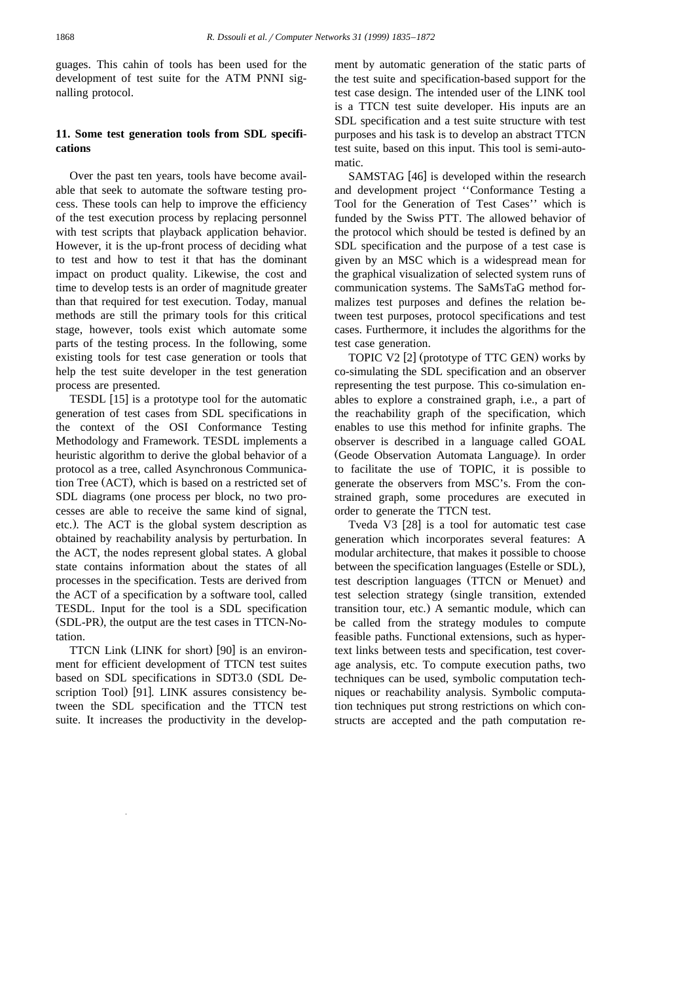guages. This cahin of tools has been used for the development of test suite for the ATM PNNI signalling protocol.

# **11. Some test generation tools from SDL specifications**

Over the past ten years, tools have become available that seek to automate the software testing process. These tools can help to improve the efficiency of the test execution process by replacing personnel with test scripts that playback application behavior. However, it is the up-front process of deciding what to test and how to test it that has the dominant impact on product quality. Likewise, the cost and time to develop tests is an order of magnitude greater than that required for test execution. Today, manual methods are still the primary tools for this critical stage, however, tools exist which automate some parts of the testing process. In the following, some existing tools for test case generation or tools that help the test suite developer in the test generation process are presented.

TESDL  $[15]$  is a prototype tool for the automatic generation of test cases from SDL specifications in the context of the OSI Conformance Testing Methodology and Framework. TESDL implements a heuristic algorithm to derive the global behavior of a protocol as a tree, called Asynchronous Communication Tree (ACT), which is based on a restricted set of SDL diagrams (one process per block, no two processes are able to receive the same kind of signal, etc.). The ACT is the global system description as obtained by reachability analysis by perturbation. In the ACT, the nodes represent global states. A global state contains information about the states of all processes in the specification. Tests are derived from the ACT of a specification by a software tool, called TESDL. Input for the tool is a SDL specification  $(SDL-PR)$ , the output are the test cases in TTCN-Notation.

TTCN Link  $(LINK for short)$  [90] is an environment for efficient development of TTCN test suites based on SDL specifications in SDT3.0 (SDL Description Tool) [91]. LINK assures consistency between the SDL specification and the TTCN test suite. It increases the productivity in the develop-

ment by automatic generation of the static parts of the test suite and specification-based support for the test case design. The intended user of the LINK tool is a TTCN test suite developer. His inputs are an SDL specification and a test suite structure with test purposes and his task is to develop an abstract TTCN test suite, based on this input. This tool is semi-automatic.

SAMSTAG [46] is developed within the research and development project ''Conformance Testing a Tool for the Generation of Test Cases'' which is funded by the Swiss PTT. The allowed behavior of the protocol which should be tested is defined by an SDL specification and the purpose of a test case is given by an MSC which is a widespread mean for the graphical visualization of selected system runs of communication systems. The SaMsTaG method formalizes test purposes and defines the relation between test purposes, protocol specifications and test cases. Furthermore, it includes the algorithms for the test case generation.

TOPIC  $V2$  [2] (prototype of TTC GEN) works by co-simulating the SDL specification and an observer representing the test purpose. This co-simulation enables to explore a constrained graph, i.e., a part of the reachability graph of the specification, which enables to use this method for infinite graphs. The observer is described in a language called GOAL (Geode Observation Automata Language). In order to facilitate the use of TOPIC, it is possible to generate the observers from MSC's. From the constrained graph, some procedures are executed in order to generate the TTCN test.

Tveda  $V3$  [28] is a tool for automatic test case generation which incorporates several features: A modular architecture, that makes it possible to choose between the specification languages (Estelle or SDL), test description languages (TTCN or Menuet) and test selection strategy (single transition, extended transition tour, etc.) A semantic module, which can be called from the strategy modules to compute feasible paths. Functional extensions, such as hypertext links between tests and specification, test coverage analysis, etc. To compute execution paths, two techniques can be used, symbolic computation techniques or reachability analysis. Symbolic computation techniques put strong restrictions on which constructs are accepted and the path computation re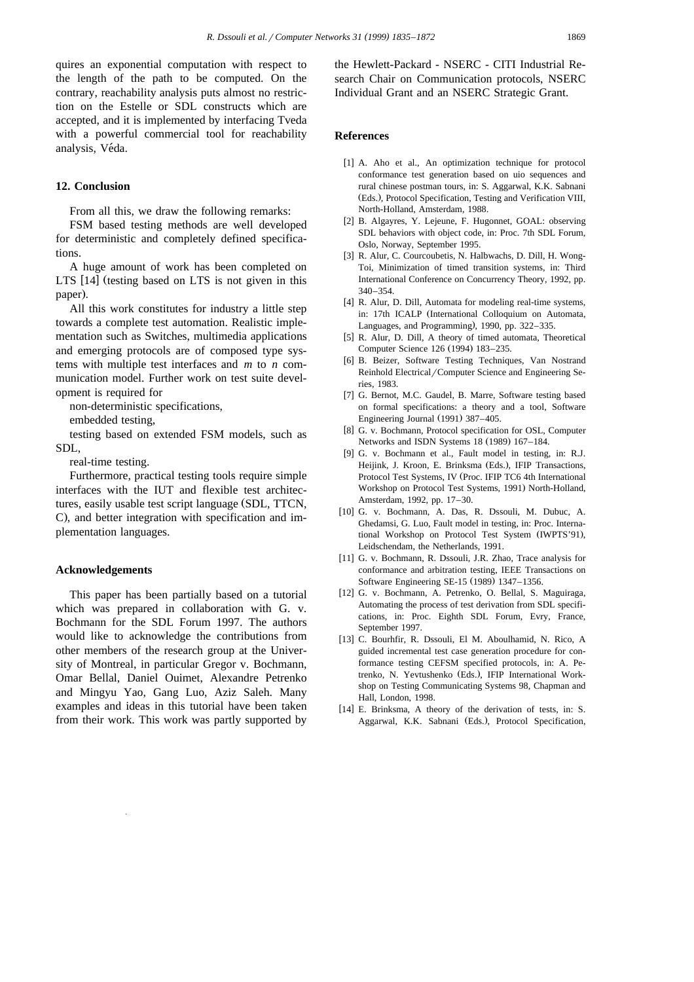quires an exponential computation with respect to the length of the path to be computed. On the contrary, reachability analysis puts almost no restriction on the Estelle or SDL constructs which are accepted, and it is implemented by interfacing Tveda with a powerful commercial tool for reachability analysis, Véda.

## **12. Conclusion**

From all this, we draw the following remarks:

FSM based testing methods are well developed for deterministic and completely defined specifications.

A huge amount of work has been completed on LTS  $[14]$  (testing based on LTS is not given in this paper).

All this work constitutes for industry a little step towards a complete test automation. Realistic implementation such as Switches, multimedia applications and emerging protocols are of composed type systems with multiple test interfaces and *m* to *n* communication model. Further work on test suite development is required for

non-deterministic specifications,

embedded testing,

testing based on extended FSM models, such as SDL,

real-time testing.

Furthermore, practical testing tools require simple interfaces with the IUT and flexible test architectures, easily usable test script language (SDL, TTCN, C), and better integration with specification and implementation languages.

#### **Acknowledgements**

This paper has been partially based on a tutorial which was prepared in collaboration with G. v. Bochmann for the SDL Forum 1997. The authors would like to acknowledge the contributions from other members of the research group at the University of Montreal, in particular Gregor v. Bochmann, Omar Bellal, Daniel Ouimet, Alexandre Petrenko and Mingyu Yao, Gang Luo, Aziz Saleh. Many examples and ideas in this tutorial have been taken from their work. This work was partly supported by

the Hewlett-Packard - NSERC - CITI Industrial Research Chair on Communication protocols, NSERC Individual Grant and an NSERC Strategic Grant.

# **References**

- [1] A. Aho et al., An optimization technique for protocol conformance test generation based on uio sequences and rural chinese postman tours, in: S. Aggarwal, K.K. Sabnani (Eds.), Protocol Specification, Testing and Verification VIII, North-Holland, Amsterdam, 1988.
- [2] B. Algayres, Y. Lejeune, F. Hugonnet, GOAL: observing SDL behaviors with object code, in: Proc. 7th SDL Forum, Oslo, Norway, September 1995.
- [3] R. Alur, C. Courcoubetis, N. Halbwachs, D. Dill, H. Wong-Toi, Minimization of timed transition systems, in: Third International Conference on Concurrency Theory, 1992, pp. 340–354.
- [4] R. Alur, D. Dill, Automata for modeling real-time systems, in: 17th ICALP (International Colloquium on Automata, Languages, and Programming), 1990, pp. 322-335.
- [5] R. Alur, D. Dill, A theory of timed automata, Theoretical Computer Science 126 (1994) 183-235.
- [6] B. Beizer, Software Testing Techniques, Van Nostrand Reinhold Electrical/Computer Science and Engineering Series, 1983.
- [7] G. Bernot, M.C. Gaudel, B. Marre, Software testing based on formal specifications: a theory and a tool, Software Engineering Journal (1991) 387-405.
- [8] G. v. Bochmann, Protocol specification for OSL, Computer Networks and ISDN Systems 18 (1989) 167-184.
- [9] G. v. Bochmann et al., Fault model in testing, in: R.J. Heijink, J. Kroon, E. Brinksma (Eds.), IFIP Transactions, Protocol Test Systems, IV (Proc. IFIP TC6 4th International Workshop on Protocol Test Systems, 1991) North-Holland, Amsterdam, 1992, pp. 17–30.
- [10] G. v. Bochmann, A. Das, R. Dssouli, M. Dubuc, A. Ghedamsi, G. Luo, Fault model in testing, in: Proc. International Workshop on Protocol Test System (IWPTS'91), Leidschendam, the Netherlands, 1991.
- [11] G. v. Bochmann, R. Dssouli, J.R. Zhao, Trace analysis for conformance and arbitration testing, IEEE Transactions on Software Engineering SE-15 (1989) 1347-1356.
- [12] G. v. Bochmann, A. Petrenko, O. Bellal, S. Maguiraga, Automating the process of test derivation from SDL specifications, in: Proc. Eighth SDL Forum, Evry, France, September 1997.
- [13] C. Bourhfir, R. Dssouli, El M. Aboulhamid, N. Rico, A guided incremental test case generation procedure for conformance testing CEFSM specified protocols, in: A. Petrenko, N. Yevtushenko (Eds.), IFIP International Workshop on Testing Communicating Systems 98, Chapman and Hall, London, 1998.
- [14] E. Brinksma, A theory of the derivation of tests, in: S. Aggarwal, K.K. Sabnani (Eds.), Protocol Specification,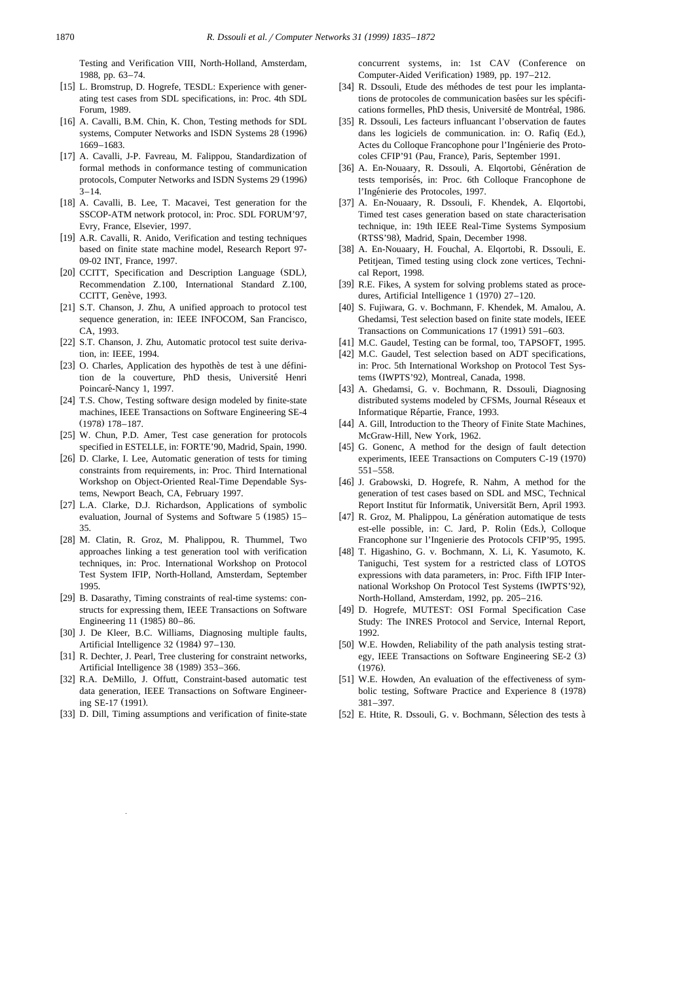Testing and Verification VIII, North-Holland, Amsterdam, 1988, pp. 63–74.

- [15] L. Bromstrup, D. Hogrefe, TESDL: Experience with generating test cases from SDL specifications, in: Proc. 4th SDL Forum, 1989.
- [16] A. Cavalli, B.M. Chin, K. Chon, Testing methods for SDL systems, Computer Networks and ISDN Systems 28 (1996) 1669–1683.
- [17] A. Cavalli, J-P. Favreau, M. Falippou, Standardization of formal methods in conformance testing of communication protocols, Computer Networks and ISDN Systems 29 (1996)  $3 - 14.$
- [18] A. Cavalli, B. Lee, T. Macavei, Test generation for the SSCOP-ATM network protocol, in: Proc. SDL FORUM'97, Evry, France, Elsevier, 1997.
- [19] A.R. Cavalli, R. Anido, Verification and testing techniques based on finite state machine model, Research Report 97- 09-02 INT, France, 1997.
- [20] CCITT, Specification and Description Language (SDL), Recommendation Z.100, International Standard Z.100, CCITT, Genève, 1993.<br>[21] S.T. Chanson, J. Zhu, A unified approach to protocol test
- sequence generation, in: IEEE INFOCOM, San Francisco, CA, 1993.
- [22] S.T. Chanson, J. Zhu, Automatic protocol test suite derivation, in: IEEE, 1994.
- [23] O. Charles, Application des hypothès de test à une définition de la couverture, PhD thesis, Université Henri Poincaré-Nancy 1, 1997.
- [24] T.S. Chow, Testing software design modeled by finite-state machines, IEEE Transactions on Software Engineering SE-4 (1978) 178-187.
- [25] W. Chun, P.D. Amer, Test case generation for protocols specified in ESTELLE, in: FORTE'90, Madrid, Spain, 1990.
- [26] D. Clarke, I. Lee, Automatic generation of tests for timing constraints from requirements, in: Proc. Third International Workshop on Object-Oriented Real-Time Dependable Systems, Newport Beach, CA, February 1997.
- [27] L.A. Clarke, D.J. Richardson, Applications of symbolic evaluation, Journal of Systems and Software 5 (1985) 15– 35.
- [28] M. Clatin, R. Groz, M. Phalippou, R. Thummel, Two approaches linking a test generation tool with verification techniques, in: Proc. International Workshop on Protocol Test System IFIP, North-Holland, Amsterdam, September 1995.
- [29] B. Dasarathy, Timing constraints of real-time systems: constructs for expressing them, IEEE Transactions on Software Engineering 11 (1985) 80-86.
- [30] J. De Kleer, B.C. Williams, Diagnosing multiple faults, Artificial Intelligence 32 (1984) 97 $-130$ .
- [31] R. Dechter, J. Pearl, Tree clustering for constraint networks, Artificial Intelligence 38 (1989) 353-366.
- [32] R.A. DeMillo, J. Offutt, Constraint-based automatic test data generation, IEEE Transactions on Software Engineering SE-17 (1991).
- [33] D. Dill, Timing assumptions and verification of finite-state

concurrent systems, in: 1st CAV (Conference on Computer-Aided Verification) 1989, pp. 197-212.

- [34] R. Dssouli, Etude des méthodes de test pour les implantations de protocoles de communication basées sur les spécifications formelles, PhD thesis, Université de Montréal, 1986.
- [35] R. Dssouli, Les facteurs influancant l'observation de fautes dans les logiciels de communication. in: O. Rafiq (Ed.), Actes du Colloque Francophone pour l'Ingénierie des Protocoles CFIP'91 (Pau, France), Paris, September 1991.
- [36] A. En-Nouaary, R. Dssouli, A. Elqortobi, Génération de tests temporisés, in: Proc. 6th Colloque Francophone de l'Ingénierie des Protocoles, 1997.
- [37] A. En-Nouaary, R. Dssouli, F. Khendek, A. Elqortobi, Timed test cases generation based on state characterisation technique, in: 19th IEEE Real-Time Systems Symposium (RTSS'98), Madrid, Spain, December 1998.
- [38] A. En-Nouaary, H. Fouchal, A. Elqortobi, R. Dssouli, E. Petitjean, Timed testing using clock zone vertices, Technical Report, 1998.
- [39] R.E. Fikes, A system for solving problems stated as procedures, Artificial Intelligence  $1(1970)$  27–120.
- [40] S. Fujiwara, G. v. Bochmann, F. Khendek, M. Amalou, A. Ghedamsi, Test selection based on finite state models, IEEE Transactions on Communications  $17$  (1991) 591–603.
- [41] M.C. Gaudel, Testing can be formal, too, TAPSOFT, 1995.
- [42] M.C. Gaudel, Test selection based on ADT specifications, in: Proc. 5th International Workshop on Protocol Test Systems (IWPTS'92), Montreal, Canada, 1998.
- [43] A. Ghedamsi, G. v. Bochmann, R. Dssouli, Diagnosing distributed systems modeled by CFSMs, Journal Réseaux et Informatique Répartie, France, 1993.
- [44] A. Gill, Introduction to the Theory of Finite State Machines, McGraw-Hill, New York, 1962.
- [45] G. Gonenc, A method for the design of fault detection experiments, IEEE Transactions on Computers C-19 (1970) 551–558.
- [46] J. Grabowski, D. Hogrefe, R. Nahm, A method for the generation of test cases based on SDL and MSC, Technical Report Institut für Informatik, Universität Bern, April 1993.
- [47] R. Groz, M. Phalippou, La génération automatique de tests est-elle possible, in: C. Jard, P. Rolin (Eds.), Colloque Francophone sur l'Ingenierie des Protocols CFIP'95, 1995.
- [48] T. Higashino, G. v. Bochmann, X. Li, K. Yasumoto, K. Taniguchi, Test system for a restricted class of LOTOS expressions with data parameters, in: Proc. Fifth IFIP International Workshop On Protocol Test Systems (IWPTS'92), North-Holland, Amsterdam, 1992, pp. 205–216.
- [49] D. Hogrefe, MUTEST: OSI Formal Specification Case Study: The INRES Protocol and Service, Internal Report, 1992.
- [50] W.E. Howden, Reliability of the path analysis testing strategy, IEEE Transactions on Software Engineering SE-2 (3)  $(1976)$ .
- [51] W.E. Howden, An evaluation of the effectiveness of symbolic testing, Software Practice and Experience 8 (1978) 381–397.
- [52] E. Htite, R. Dssouli, G. v. Bochmann, Sélection des tests à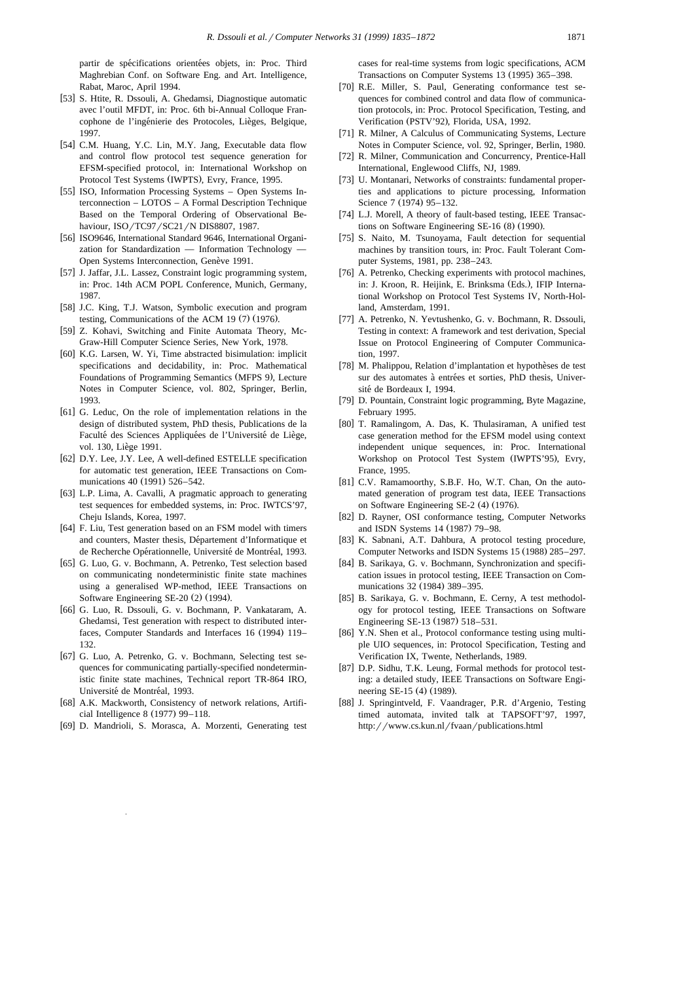partir de spécifications orientées objets, in: Proc. Third Maghrebian Conf. on Software Eng. and Art. Intelligence, Rabat, Maroc, April 1994.

- [53] S. Htite, R. Dssouli, A. Ghedamsi, Diagnostique automatic avec l'outil MFDT, in: Proc. 6th bi-Annual Colloque Francophone de l'ingénierie des Protocoles, Lièges, Belgique, 1997.
- [54] C.M. Huang, Y.C. Lin, M.Y. Jang, Executable data flow and control flow protocol test sequence generation for EFSM-specified protocol, in: International Workshop on Protocol Test Systems (IWPTS), Evry, France, 1995.
- [55] ISO, Information Processing Systems Open Systems Interconnection – LOTOS – A Formal Description Technique Based on the Temporal Ordering of Observational Behaviour, ISO/TC97/SC21/N DIS8807, 1987.
- [56] ISO9646, International Standard 9646, International Organization for Standardization — Information Technology — Open Systems Interconnection, Genève 1991.
- [57] J. Jaffar, J.L. Lassez, Constraint logic programming system, in: Proc. 14th ACM POPL Conference, Munich, Germany, 1987.
- [58] J.C. King, T.J. Watson, Symbolic execution and program testing, Communications of the ACM 19 (7) (1976).
- [59] Z. Kohavi, Switching and Finite Automata Theory, Mc-Graw-Hill Computer Science Series, New York, 1978.
- [60] K.G. Larsen, W. Yi, Time abstracted bisimulation: implicit specifications and decidability, in: Proc. Mathematical Foundations of Programming Semantics (MFPS 9), Lecture Notes in Computer Science, vol. 802, Springer, Berlin, 1993.
- [61] G. Leduc, On the role of implementation relations in the design of distributed system, PhD thesis, Publications de la Faculté des Sciences Appliquées de l'Université de Liège, vol. 130, Liège 1991.<br>[62] D.Y. Lee, J.Y. Lee, A well-defined ESTELLE specification
- for automatic test generation, IEEE Transactions on Communications 40 (1991) 526–542.
- [63] L.P. Lima, A. Cavalli, A pragmatic approach to generating test sequences for embedded systems, in: Proc. IWTCS'97, Cheju Islands, Korea, 1997.
- [64] F. Liu, Test generation based on an FSM model with timers and counters, Master thesis, Département d'Informatique et de Recherche Opérationnelle, Université de Montréal, 1993.
- [65] G. Luo, G. v. Bochmann, A. Petrenko, Test selection based on communicating nondeterministic finite state machines using a generalised WP-method, IEEE Transactions on Software Engineering SE-20  $(2)$  (1994).
- [66] G. Luo, R. Dssouli, G. v. Bochmann, P. Vankataram, A. Ghedamsi, Test generation with respect to distributed interfaces, Computer Standards and Interfaces 16 (1994) 119– 132.
- [67] G. Luo, A. Petrenko, G. v. Bochmann, Selecting test sequences for communicating partially-specified nondeterministic finite state machines, Technical report TR-864 IRO, Université de Montréal, 1993.
- [68] A.K. Mackworth, Consistency of network relations, Artificial Intelligence  $8(1977)$  99-118.
- [69] D. Mandrioli, S. Morasca, A. Morzenti, Generating test

cases for real-time systems from logic specifications, ACM Transactions on Computer Systems 13 (1995) 365–398.

- [70] R.E. Miller, S. Paul, Generating conformance test sequences for combined control and data flow of communication protocols, in: Proc. Protocol Specification, Testing, and Verification (PSTV'92), Florida, USA, 1992.
- [71] R. Milner, A Calculus of Communicating Systems, Lecture Notes in Computer Science, vol. 92, Springer, Berlin, 1980.
- [72] R. Milner, Communication and Concurrency, Prentice-Hall International, Englewood Cliffs, NJ, 1989.
- [73] U. Montanari, Networks of constraints: fundamental properties and applications to picture processing, Information Science 7 (1974) 95-132.
- [74] L.J. Morell, A theory of fault-based testing, IEEE Transactions on Software Engineering SE-16  $(8)$  (1990).
- [75] S. Naito, M. Tsunoyama, Fault detection for sequential machines by transition tours, in: Proc. Fault Tolerant Computer Systems, 1981, pp. 238–243.
- [76] A. Petrenko, Checking experiments with protocol machines, in: J. Kroon, R. Heijink, E. Brinksma (Eds.), IFIP International Workshop on Protocol Test Systems IV, North-Holland, Amsterdam, 1991.
- [77] A. Petrenko, N. Yevtushenko, G. v. Bochmann, R. Dssouli, Testing in context: A framework and test derivation, Special Issue on Protocol Engineering of Computer Communication, 1997.
- [78] M. Phalippou, Relation d'implantation et hypothèses de test sur des automates à entrées et sorties, PhD thesis, Université de Bordeaux I, 1994.
- [79] D. Pountain, Constraint logic programming, Byte Magazine, February 1995.
- [80] T. Ramalingom, A. Das, K. Thulasiraman, A unified test case generation method for the EFSM model using context independent unique sequences, in: Proc. International Workshop on Protocol Test System (IWPTS'95), Evry, France, 1995.
- [81] C.V. Ramamoorthy, S.B.F. Ho, W.T. Chan, On the automated generation of program test data, IEEE Transactions on Software Engineering SE-2  $(4)$  (1976).
- [82] D. Rayner, OSI conformance testing, Computer Networks and ISDN Systems 14 (1987) 79-98.
- [83] K. Sabnani, A.T. Dahbura, A protocol testing procedure, Computer Networks and ISDN Systems 15 (1988) 285-297.
- [84] B. Sarikaya, G. v. Bochmann, Synchronization and specification issues in protocol testing, IEEE Transaction on Communications 32 (1984) 389-395.
- [85] B. Sarikaya, G. v. Bochmann, E. Cerny, A test methodology for protocol testing, IEEE Transactions on Software Engineering SE-13 (1987) 518–531.
- [86] Y.N. Shen et al., Protocol conformance testing using multiple UIO sequences, in: Protocol Specification, Testing and Verification IX, Twente, Netherlands, 1989.
- [87] D.P. Sidhu, T.K. Leung, Formal methods for protocol testing: a detailed study, IEEE Transactions on Software Engineering SE-15 (4) (1989).
- [88] J. Springintveld, F. Vaandrager, P.R. d'Argenio, Testing timed automata, invited talk at TAPSOFT'97, 1997, http://www.cs.kun.nl/fvaan/publications.html